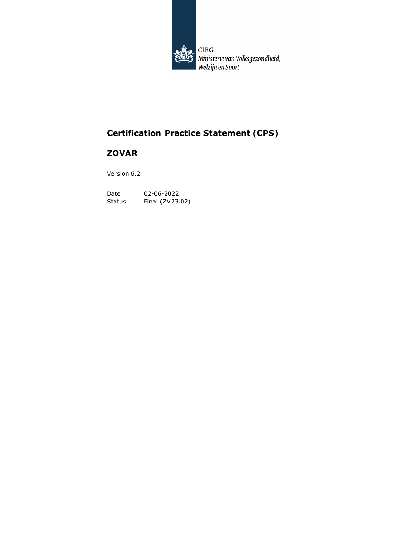

| CIBG<br>| Ministerie van Volksgezondheid,<br>| Welzijn en Sport

# **Certification Practice Statement (CPS)**

## **ZOVAR**

Version 6.2

Date 02-06-2022 Status Final (ZV23.02)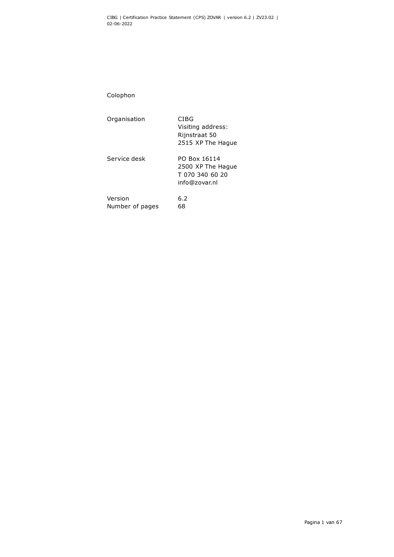Colophon

| Organisation               | CIBG<br>Visiting address:<br>Rijnstraat 50<br>2515 XP The Hague       |
|----------------------------|-----------------------------------------------------------------------|
| Service desk               | PO Box 16114<br>2500 XP The Hague<br>T 070 340 60 20<br>info@zovar.nl |
| Version<br>Number of pages | 6.2<br>68                                                             |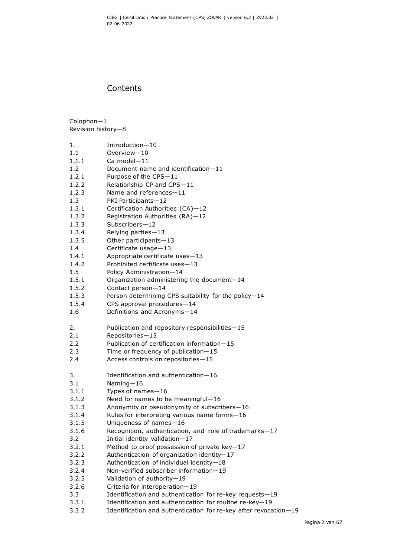## **Contents**

Colophon—1 Revision history—8

- 1. Introduction—10
- 1.1 Overview—10
- 1.1.1 Ca model—11
- 1.2 Document name and identification—11
- 1.2.1 Purpose of the CPS—11
- 1.2.2 Relationship CP and CPS—11
- 1.2.3 Name and references—11
- 1.3 PKI Participants—12
- 1.3.1 Certification Authorities (CA)—12
- 1.3.2 Registration Authorities (RA)—12
- 1.3.3 Subscribers—12
- 1.3.4 Relying parties—13
- 1.3.5 Other participants—13
- 1.4 Certificate usage—13
- 1.4.1 Appropriate certificate uses—13
- 1.4.2 Prohibited certificate uses—13
- 1.5 Policy Administration—14
- 1.5.1 Organization administering the document—14
- 1.5.2 Contact person—14
- 1.5.3 Person determining CPS suitability for the policy—14
- 1.5.4 CPS approval procedures—14
- 1.6 Definitions and Acronyms—14
- 2. Publication and repository responsibilities—15
- 2.1 Repositories—15
- 2.2 Publication of certification information—15
- 2.3 Time or frequency of publication—15
- 2.4 Access controls on repositories—15
- 3. Identification and authentication—16
- 3.1 Naming—16
- 3.1.1 Types of names—16
- 3.1.2 Need for names to be meaningful—16
- 3.1.3 Anonymity or pseudonymity of subscribers—16
- 3.1.4 Rules for interpreting various name forms—16
- 3.1.5 Uniqueness of names—16
- 3.1.6 Recognition, authentication, and role of trademarks—17
- 3.2 Initial identity validation—17
- 3.2.1 Method to proof possession of private key—17
- 3.2.2 Authentication of organization identity—17
- 3.2.3 Authentication of individual identity—18
- 3.2.4 Non-verified subscriber information—19
- 3.2.5 Validation of authority—19
- 3.2.6 Criteria for interoperation—19
- 3.3 Identification and authentication for re-key requests—19
- 3.3.1 Identification and authentication for routine re-key—19
- 3.3.2 Identification and authentication for re-key after revocation—19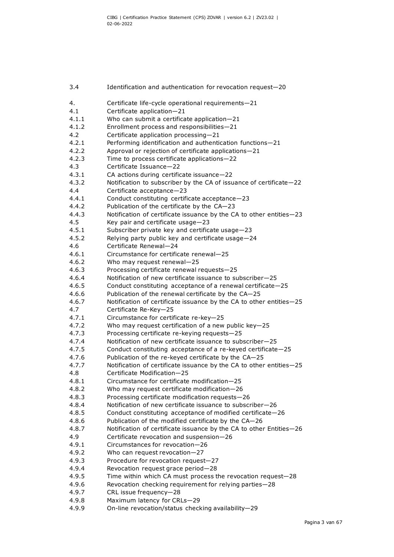3.4 Identification and authentication for revocation request—20 4. Certificate life-cycle operational requirements—21 4.1 Certificate application—21 4.1.1 Who can submit a certificate application—21 4.1.2 Enrollment process and responsibilities—21 4.2 Certificate application processing—21 4.2.1 Performing identification and authentication functions—21 4.2.2 Approval or rejection of certificate applications—21 4.2.3 Time to process certificate applications—22 4.3 Certificate Issuance—22 4.3.1 CA actions during certificate issuance—22 4.3.2 Notification to subscriber by the CA of issuance of certificate—22 4.4 Certificate acceptance—23 4.4.1 Conduct constituting certificate acceptance—23 4.4.2 Publication of the certificate by the CA—23 4.4.3 Notification of certificate issuance by the CA to other entities—23 4.5 Key pair and certificate usage—23 4.5.1 Subscriber private key and certificate usage—23 4.5.2 Relying party public key and certificate usage—24 4.6 Certificate Renewal—24 4.6.1 Circumstance for certificate renewal—25 4.6.2 Who may request renewal—25 4.6.3 Processing certificate renewal requests—25 4.6.4 Notification of new certificate issuance to subscriber—25 4.6.5 Conduct constituting acceptance of a renewal certificate—25 4.6.6 Publication of the renewal certificate by the CA—25 4.6.7 Notification of certificate issuance by the CA to other entities—25 4.7 Certificate Re-Key—25 4.7.1 Circumstance for certificate re-key—25 4.7.2 Who may request certification of a new public key—25 4.7.3 Processing certificate re-keying requests—25 4.7.4 Notification of new certificate issuance to subscriber—25 4.7.5 Conduct constituting acceptance of a re-keyed certificate—25 4.7.6 Publication of the re-keyed certificate by the CA—25 4.7.7 Notification of certificate issuance by the CA to other entities—25 4.8 Certificate Modification—25 4.8.1 Circumstance for certificate modification—25 4.8.2 Who may request certificate modification—26 4.8.3 Processing certificate modification requests—26 4.8.4 Notification of new certificate issuance to subscriber—26 4.8.5 Conduct constituting acceptance of modified certificate—26 4.8.6 Publication of the modified certificate by the CA—26 4.8.7 Notification of certificate issuance by the CA to other Entities—26 4.9 Certificate revocation and suspension—26 4.9.1 Circumstances for revocation—26 4.9.2 Who can request revocation—27 4.9.3 Procedure for revocation request—27 4.9.4 Revocation request grace period—28 4.9.5 Time within which CA must process the revocation request—28 4.9.6 Revocation checking requirement for relying parties—28 4.9.7 CRL issue frequency—28 4.9.8 Maximum latency for CRLs—29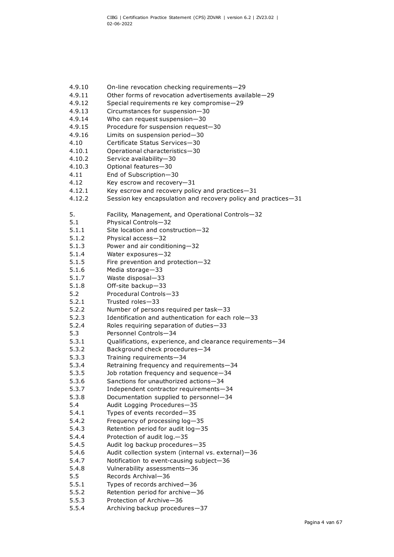4.9.10 On-line revocation checking requirements—29 4.9.11 Other forms of revocation advertisements available—29 4.9.12 Special requirements re key compromise—29 4.9.13 Circumstances for suspension—30 4.9.14 Who can request suspension—30 4.9.15 Procedure for suspension request—30 4.9.16 Limits on suspension period—30 4.10 Certificate Status Services—30 4.10.1 Operational characteristics—30 4.10.2 Service availability—30 4.10.3 Optional features—30 4.11 End of Subscription—30 4.12 Key escrow and recovery—31 4.12.1 Key escrow and recovery policy and practices—31 4.12.2 Session key encapsulation and recovery policy and practices—31 5. Facility, Management, and Operational Controls—32 5.1 Physical Controls—32 5.1.1 Site location and construction—32 5.1.2 Physical access—32 5.1.3 Power and air conditioning—32 5.1.4 Water exposures—32 5.1.5 Fire prevention and protection—32 5.1.6 Media storage—33 5.1.7 Waste disposal—33 5.1.8 Off-site backup—33 5.2 Procedural Controls—33 5.2.1 Trusted roles—33 5.2.2 Number of persons required per task—33 5.2.3 Identification and authentication for each role—33 5.2.4 Roles requiring separation of duties—33 5.3 Personnel Controls—34 5.3.1 Qualifications, experience, and clearance requirements—34 5.3.2 Background check procedures—34 5.3.3 Training requirements—34 5.3.4 Retraining frequency and requirements—34 5.3.5 Job rotation frequency and sequence—34 5.3.6 Sanctions for unauthorized actions—34 5.3.7 Independent contractor requirements—34 5.3.8 Documentation supplied to personnel—34 5.4 Audit Logging Procedures—35 5.4.1 Types of events recorded—35 5.4.2 Frequency of processing log—35 5.4.3 Retention period for audit log—35 5.4.4 Protection of audit log.—35 5.4.5 Audit log backup procedures—35 5.4.6 Audit collection system (internal vs. external)—36 5.4.7 Notification to event-causing subject—36 5.4.8 Vulnerability assessments—36 5.5 Records Archival—36 5.5.1 Types of records archived—36 5.5.2 Retention period for archive—36 5.5.3 Protection of Archive—36 5.5.4 Archiving backup procedures—37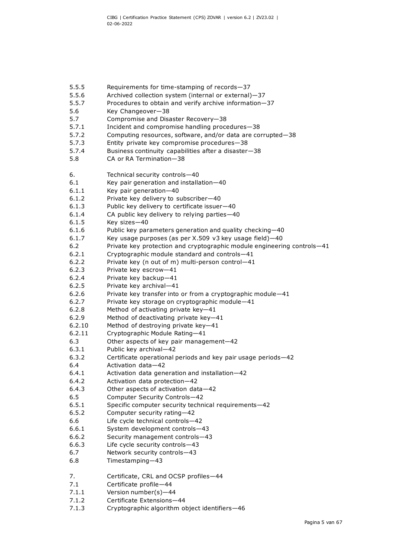- 5.5.5 Requirements for time-stamping of records—37
- 5.5.6 Archived collection system (internal or external)—37
- 5.5.7 Procedures to obtain and verify archive information—37
- 5.6 Key Changeover—38
- 5.7 Compromise and Disaster Recovery—38
- 5.7.1 Incident and compromise handling procedures—38
- 5.7.2 Computing resources, software, and/or data are corrupted—38
- 5.7.3 Entity private key compromise procedures—38
- 5.7.4 Business continuity capabilities after a disaster—38
- 5.8 CA or RA Termination—38

6. Technical security controls—40

- 6.1 Key pair generation and installation—40
- 6.1.1 Key pair generation—40
- 6.1.2 Private key delivery to subscriber—40
- 6.1.3 Public key delivery to certificate issuer—40
- 6.1.4 CA public key delivery to relying parties—40
- 6.1.5 Key sizes—40
- 6.1.6 Public key parameters generation and quality checking—40
- 6.1.7 Key usage purposes (as per X.509 v3 key usage field)—40
- 6.2 Private key protection and cryptographic module engineering controls—41
- 6.2.1 Cryptographic module standard and controls—41
- 6.2.2 Private key (n out of m) multi-person control—41
- 6.2.3 Private key escrow—41
- 6.2.4 Private key backup—41
- 6.2.5 Private key archival—41
- 6.2.6 Private key transfer into or from a cryptographic module—41
- 6.2.7 Private key storage on cryptographic module—41
- 6.2.8 Method of activating private key—41
- 6.2.9 Method of deactivating private key—41
- 6.2.10 Method of destroying private key—41
- 6.2.11 Cryptographic Module Rating—41
- 6.3 Other aspects of key pair management—42
- 6.3.1 Public key archival—42
- 6.3.2 Certificate operational periods and key pair usage periods—42
- 6.4 Activation data—42
- 6.4.1 Activation data generation and installation—42
- 6.4.2 Activation data protection—42
- 6.4.3 Other aspects of activation data—42
- 6.5 Computer Security Controls—42
- 6.5.1 Specific computer security technical requirements—42
- 6.5.2 Computer security rating—42
- 6.6 Life cycle technical controls—42
- 6.6.1 System development controls—43
- 6.6.2 Security management controls—43
- 6.6.3 Life cycle security controls—43
- 6.7 Network security controls—43
- 6.8 Timestamping—43
- 7. Certificate, CRL and OCSP profiles—44
- 7.1 Certificate profile—44
- 7.1.1 Version number(s)—44
- 7.1.2 Certificate Extensions—44
- 7.1.3 Cryptographic algorithm object identifiers—46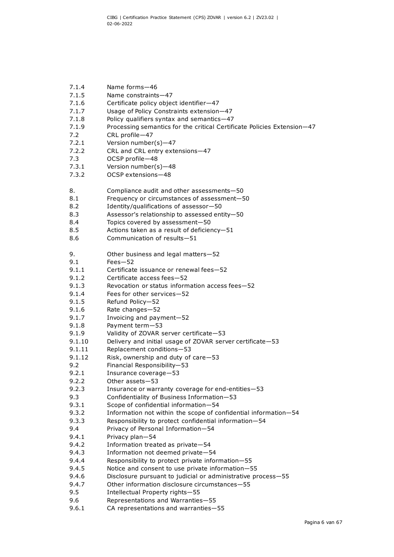- 7.1.4 Name forms—46
- 7.1.5 Name constraints—47
- 7.1.6 Certificate policy object identifier—47
- 7.1.7 Usage of Policy Constraints extension—47
- 7.1.8 Policy qualifiers syntax and semantics—47
- 7.1.9 Processing semantics for the critical Certificate Policies Extension—47
- 7.2 CRL profile—47
- 7.2.1 Version number(s)—47
- 7.2.2 CRL and CRL entry extensions—47
- 7.3 OCSP profile—48
- 7.3.1 Version number(s)—48
- 7.3.2 OCSP extensions—48
- 8. Compliance audit and other assessments—50
- 8.1 Frequency or circumstances of assessment—50
- 8.2 Identity/qualifications of assessor—50
- 8.3 Assessor's relationship to assessed entity—50
- 8.4 Topics covered by assessment—50
- 8.5 Actions taken as a result of deficiency—51
- 8.6 Communication of results—51
- 9. Other business and legal matters—52
- 9.1 Fees—52
- 9.1.1 Certificate issuance or renewal fees—52
- 9.1.2 Certificate access fees—52
- 9.1.3 Revocation or status information access fees—52
- 9.1.4 Fees for other services—52
- 9.1.5 Refund Policy—52
- 9.1.6 Rate changes—52
- 9.1.7 Invoicing and payment—52
- 9.1.8 Payment term—53
- 9.1.9 Validity of ZOVAR server certificate—53
- 9.1.10 Delivery and initial usage of ZOVAR server certificate—53
- 9.1.11 Replacement conditions—53
- 9.1.12 Risk, ownership and duty of care—53
- 9.2 Financial Responsibility—53
- 9.2.1 Insurance coverage—53
- 9.2.2 Other assets—53
- 9.2.3 Insurance or warranty coverage for end-entities—53
- 9.3 Confidentiality of Business Information—53
- 9.3.1 Scope of confidential information—54
- 9.3.2 Information not within the scope of confidential information—54
- 9.3.3 Responsibility to protect confidential information—54
- 9.4 Privacy of Personal Information—54
- 9.4.1 Privacy plan—54
- 9.4.2 Information treated as private—54
- 9.4.3 Information not deemed private—54
- 9.4.4 Responsibility to protect private information—55
- 9.4.5 Notice and consent to use private information—55
- 9.4.6 Disclosure pursuant to judicial or administrative process—55
- 9.4.7 Other information disclosure circumstances—55
- 9.5 Intellectual Property rights—55
- 9.6 Representations and Warranties—55
- 9.6.1 CA representations and warranties—55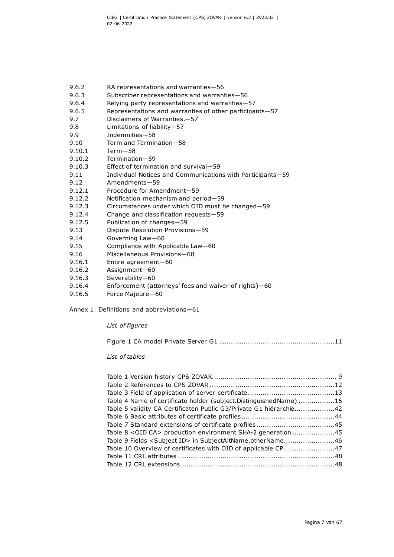- 9.6.2 RA representations and warranties—56
- 9.6.3 Subscriber representations and warranties—56
- 9.6.4 Relying party representations and warranties—57
- 9.6.5 Representations and warranties of other participants—57
- 9.7 Disclaimers of Warranties.—57
- 9.8 Limitations of liability-57<br>9.9 Indemnities-58
- 9.9 Indemnities—58
- 9.10 Term and Termination—58
- 9.10.1 Term—58
- 9.10.2 Termination—59
- 9.10.3 Effect of termination and survival—59
- 9.11 Individual Notices and Communications with Participants-59
- 9.12 Amendments—59
- 9.12.1 Procedure for Amendment—59
- 9.12.2 Notification mechanism and period—59
- 9.12.3 Circumstances under which OID must be changed—59
- 9.12.4 Change and classification requests—59
- 9.12.5 Publication of changes—59
- 9.13 Dispute Resolution Provisions—59
- 9.14 Governing Law—60
- 9.15 Compliance with Applicable Law—60
- 9.16 Miscellaneous Provisions—60
- 9.16.1 Entire agreement—60
- 9.16.2 Assignment—60
- 9.16.3 Severability—60
- 9.16.4 Enforcement (attorneys' fees and waiver of rights)—60
- 9.16.5 Force Majeure—60

Annex 1: Definitions and abbreviations—61

#### *List of figures*

Figure 1 CA model Private Server G1.......................................................11

#### *List of tables*

| Table 4 Name of certificate holder (subject.Distinguished Name) 16     |  |
|------------------------------------------------------------------------|--|
| Table 5 validity CA Certificaten Public G3/Private G1 hiërarchie42     |  |
|                                                                        |  |
|                                                                        |  |
| Table 8 < OID CA > production environment SHA-2 generation 45          |  |
| Table 9 Fields <subject id=""> in SubjectAltName.otherName46</subject> |  |
| Table 10 Overview of certificates with OID of applicable CP47          |  |
|                                                                        |  |
|                                                                        |  |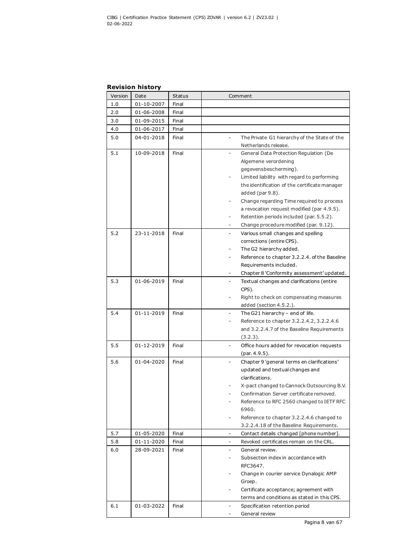## **Revision history**

| Version | Date       | <b>Status</b> | Comment                                                             |
|---------|------------|---------------|---------------------------------------------------------------------|
| 1.0     | 01-10-2007 | Final         |                                                                     |
| 2.0     | 01-06-2008 | Final         |                                                                     |
| 3.0     | 01-09-2015 | Final         |                                                                     |
| 4.0     | 01-06-2017 | Final         |                                                                     |
| 5.0     | 04-01-2018 | Final         | The Private G1 hierarchy of the State of the                        |
|         |            |               | Netherlands release.                                                |
| 5.1     | 10-09-2018 | Final         | General Data Protection Regulation (De<br>$\overline{\phantom{0}}$  |
|         |            |               | Algemene verordening                                                |
|         |            |               | gegevensbescherming).                                               |
|         |            |               | Limited liability with regard to performing                         |
|         |            |               | the identification of the certificate manager                       |
|         |            |               | added ( $par 9.8$ ).                                                |
|         |            |               | Change regarding Time required to process                           |
|         |            |               | a revocation request modified (par 4.9.5).                          |
|         |            |               | Retention periods included (par. 5.5.2).                            |
|         |            |               | Change procedure modified (par. 9.12).                              |
| 5.2     | 23-11-2018 | Final         | Various small changes and spelling<br>$\overline{\phantom{a}}$      |
|         |            |               | corrections (entire CPS).                                           |
|         |            |               | The G2 hierarchy added.                                             |
|         |            |               | Reference to chapter 3.2.2.4. of the Baseline                       |
|         |            |               | Requirements included.                                              |
|         |            |               | Chapter 8 'Conformity assessment' updated.                          |
| 5.3     | 01-06-2019 | Final         | Textual changes and clarifications (entire                          |
|         |            |               | CPS).                                                               |
|         |            |               | Right to check on compensating measures                             |
|         |            |               | added (section 4.5.2.).                                             |
| 5.4     | 01-11-2019 | Final         | The G21 hierarchy - end of life.                                    |
|         |            |               | Reference to chapter 3.2.2.4.2, 3.2.2.4.6<br>-                      |
|         |            |               | and 3.2.2.4.7 of the Baseline Requirements<br>(3.2.3).              |
| 5.5     | 01-12-2019 | Final         | ÷.                                                                  |
|         |            |               | Office hours added for revocation requests<br>(par. 4.9.5).         |
| 5.6     | 01-04-2020 | Final         | Chapter 9 'general terms en clarifications'                         |
|         |            |               | updated and textual changes and                                     |
|         |            |               | clarifications.                                                     |
|         |            |               | X-pact changed to Cannock Outsourcing B.V.                          |
|         |            |               | Confirmation Server certificate removed.                            |
|         |            |               | Reference to RFC 2560 changed to IETF RFC                           |
|         |            |               | 6960.                                                               |
|         |            |               | Reference to chapter 3.2.2.4.6 changed to                           |
|         |            |               | 3.2.2.4.18 of the Baseline Requirements.                            |
| 5.7     | 01-05-2020 | Final         | -<br>Contact details changed [phone number].                        |
| 5.8     | 01-11-2020 | Final         | Revoked certificates remain on the CRL.<br>$\overline{\phantom{a}}$ |
| 6.0     | 28-09-2021 | Final         | General review.<br>$\overline{\phantom{a}}$                         |
|         |            |               | Subsection index in accordance with<br>-                            |
|         |            |               | RFC3647.                                                            |
|         |            |               | Change in courier service Dynalogic AMP                             |
|         |            |               | Groep.                                                              |
|         |            |               | Certificate acceptance; agreement with                              |
|         |            |               | terms and conditions as stated in this CPS.                         |
| 6.1     | 01-03-2022 | Final         | Specification retention period                                      |
|         |            |               | General review                                                      |

Pagina 8 van 67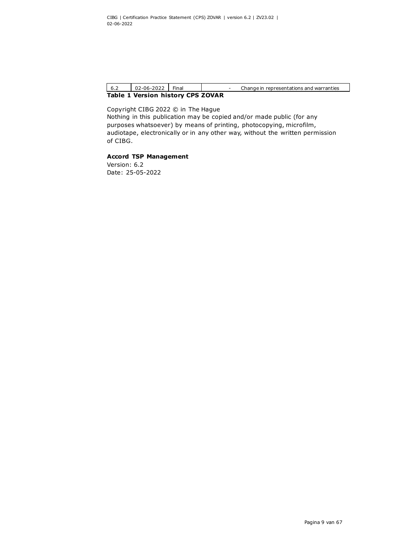<span id="page-9-0"></span>

| $^{\bullet}$ 6.2 | 02-06-2022 Final                  |  |  |  | Change in representations and warranties |
|------------------|-----------------------------------|--|--|--|------------------------------------------|
|                  | Table 1 Version history CPS ZOVAR |  |  |  |                                          |

Copyright CIBG 2022 © in The Hague Nothing in this publication may be copied and/or made public (for any purposes whatsoever) by means of printing, photocopying, microfilm, audiotape, electronically or in any other way, without the written permission of CIBG.

#### **Accord TSP Management**

Version: 6.2 Date: 25-05-2022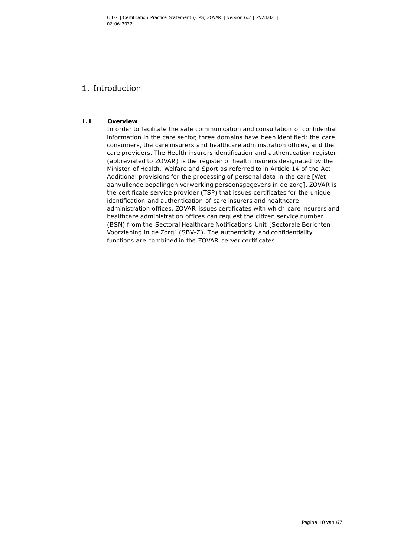## 1. Introduction

#### **1.1 Overview**

In order to facilitate the safe communication and consultation of confidential information in the care sector, three domains have been identified: the care consumers, the care insurers and healthcare administration offices, and the care providers. The Health insurers identification and authentication register (abbreviated to ZOVAR) is the register of health insurers designated by the Minister of Health, Welfare and Sport as referred to in Article 14 of the Act Additional provisions for the processing of personal data in the care [Wet aanvullende bepalingen verwerking persoonsgegevens in de zorg]. ZOVAR is the certificate service provider (TSP) that issues certificates for the unique identification and authentication of care insurers and healthcare administration offices. ZOVAR issues certificates with which care insurers and healthcare administration offices can request the citizen service number (BSN) from the Sectoral Healthcare Notifications Unit [Sectorale Berichten Voorziening in de Zorg] (SBV-Z). The authenticity and confidentiality functions are combined in the ZOVAR server certificates.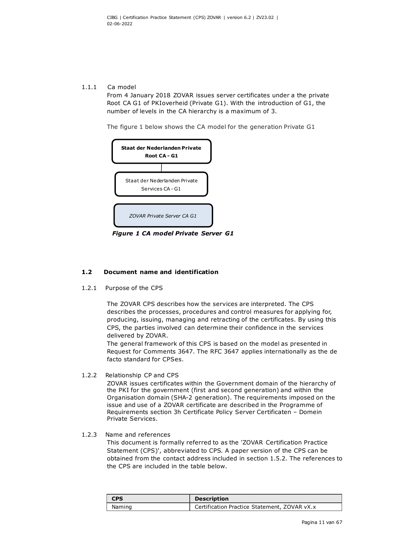#### 1.1.1 Ca model

From 4 January 2018 ZOVAR issues server certificates under a the private Root CA G1 of PKIoverheid (Private G1). With the introduction of G1, the number of levels in the CA hierarchy is a maximum of 3.

The figure 1 below shows the CA model for the generation Private G1



*Figure 1 CA model Private Server G1*

### **1.2 Document name and identification**

1.2.1 Purpose of the CPS

The ZOVAR CPS describes how the services are interpreted. The CPS describes the processes, procedures and control measures for applying for, producing, issuing, managing and retracting of the certificates. By using this CPS, the parties involved can determine their confidence in the services delivered by ZOVAR.

The general framework of this CPS is based on the model as presented in Request for Comments 3647. The RFC 3647 applies internationally as the de facto standard for CPSes.

#### 1.2.2 Relationship CP and CPS

ZOVAR issues certificates within the Government domain of the hierarchy of the PKI for the government (first and second generation) and within the Organisation domain (SHA-2 generation). The requirements imposed on the issue and use of a ZOVAR certificate are described in the Programme of Requirements section 3h Certificate Policy Server Certificaten – Domein Private Services.

#### 1.2.3 Name and references

<span id="page-11-0"></span>This document is formally referred to as the 'ZOVAR Certification Practice Statement (CPS)', abbreviated to CPS. A paper version of the CPS can be obtained from the contact address included in section 1.5.2. The references to the CPS are included in the table below.

| <b>CPS</b> | <b>Description</b>                           |  |
|------------|----------------------------------------------|--|
| Naming     | Certification Practice Statement, ZOVAR vX.x |  |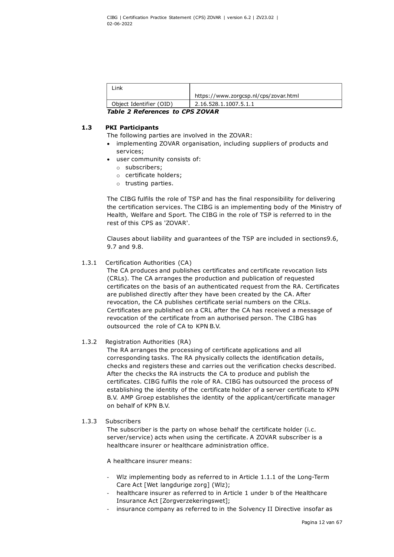| _ink                    |                                       |
|-------------------------|---------------------------------------|
|                         | https://www.zorgcsp.nl/cps/zovar.html |
| Object Identifier (OID) | 2.16.528.1.1007.5.1.1                 |

<span id="page-12-0"></span>*Table 2 References to CPS ZOVAR*

## **1.3 PKI Participants**

- The following parties are involved in the ZOVAR:
- implementing ZOVAR organisation, including suppliers of products and services;
- user community consists of:
	- o subscribers;
	- o certificate holders;
	- o trusting parties.

The CIBG fulfils the role of TSP and has the final responsibility for delivering the certification services. The CIBG is an implementing body of the Ministry of Health, Welfare and Sport. The CIBG in the role of TSP is referred to in the rest of this CPS as 'ZOVAR'.

Clauses about liability and guarantees of the TSP are included in sections9.6, 9.7 and [9.8.](#page-57-0)

#### 1.3.1 Certification Authorities (CA)

The CA produces and publishes certificates and certificate revocation lists (CRLs). The CA arranges the production and publication of requested certificates on the basis of an authenticated request from the RA. Certificates are published directly after they have been created by the CA. After revocation, the CA publishes certificate serial numbers on the CRLs. Certificates are published on a CRL after the CA has received a message of revocation of the certificate from an authorised person. The CIBG has outsourced the role of CA to KPN B.V.

#### 1.3.2 Registration Authorities (RA)

The RA arranges the processing of certificate applications and all corresponding tasks. The RA physically collects the identification details, checks and registers these and carries out the verification checks described. After the checks the RA instructs the CA to produce and publish the certificates. CIBG fulfils the role of RA. CIBG has outsourced the process of establishing the identity of the certificate holder of a server certificate to KPN B.V. AMP Groep establishes the identity of the applicant/certificate manager on behalf of KPN B.V.

#### 1.3.3 Subscribers

The subscriber is the party on whose behalf the certificate holder (i.c. server/service) acts when using the certificate. A ZOVAR subscriber is a healthcare insurer or healthcare administration office.

A healthcare insurer means:

- Wlz implementing body as referred to in Article [1.1.1 of the Long-Term](http://wetten.overheid.nl/jci1.3:c:BWBR0035917&artikel=1.1.1&g=2017-03-09&z=2017-03-09)  [Care Act \[Wet langdurige zorg\] \(Wlz\);](http://wetten.overheid.nl/jci1.3:c:BWBR0035917&artikel=1.1.1&g=2017-03-09&z=2017-03-09)
- healthcare insurer as referred to in Article 1 under b of the Healthcare Insurance Act [Zorgverzekeringswet];
- insurance company as referred to in the Solvency II Directive insofar as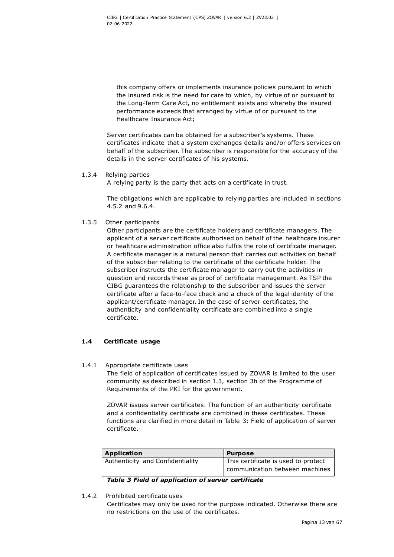this company offers or implements insurance policies pursuant to which the insured risk is the need for care to which, by virtue of or pursuant to the Long-Term Care Act, no entitlement exists and whereby the insured performance exceeds that arranged by virtue of or pursuant to the [Healthcare Insurance Act;](http://wetten.overheid.nl/jci1.3:c:BWBR0018450&g=2017-03-09&z=2017-03-09)

Server certificates can be obtained for a subscriber's systems. These certificates indicate that a system exchanges details and/or offers services on behalf of the subscriber. The subscriber is responsible for the accuracy of the details in the server certificates of his systems.

#### 1.3.4 Relying parties

A relying party is the party that acts on a certificate in trust.

The obligations which are applicable to relying parties are included in sections [4.5.2](#page-24-0) and [9.6.4.](#page-57-1)

1.3.5 Other participants

Other participants are the certificate holders and certificate managers. The applicant of a server certificate authorised on behalf of the healthcare insurer or healthcare administration office also fulfils the role of certificate manager. A certificate manager is a natural person that carries out activities on behalf of the subscriber relating to the certificate of the certificate holder. The subscriber instructs the certificate manager to carry out the activities in question and records these as proof of certificate management. As TSP the CIBG guarantees the relationship to the subscriber and issues the server certificate after a face-to-face check and a check of the legal identity of the applicant/certificate manager. In the case of server certificates, the authenticity and confidentiality certificate are combined into a single certificate.

## **1.4 Certificate usage**

#### 1.4.1 Appropriate certificate uses

The field of application of certificates issued by ZOVAR is limited to the user community as described in section 1.3, section 3h of the Programme of Requirements of the PKI for the government.

ZOVAR issues server certificates. The function of an authenticity certificate and a confidentiality certificate are combined in these certificates. These functions are clarified in more detail in Table 3: Field of application of server certificate.

| <b>Application</b>               | <b>Purpose</b>                      |
|----------------------------------|-------------------------------------|
| Authenticity and Confidentiality | This certificate is used to protect |
|                                  | communication between machines      |

<span id="page-13-0"></span>*Table 3 Field of application of server certificate*

#### 1.4.2 Prohibited certificate uses

Certificates may only be used for the purpose indicated. Otherwise there are no restrictions on the use of the certificates.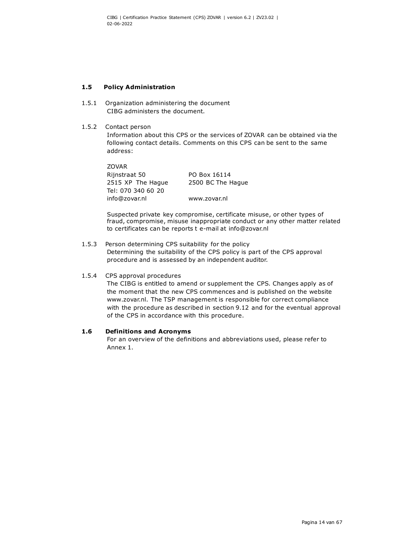## **1.5 Policy Administration**

- 1.5.1 Organization administering the document CIBG administers the document.
- 1.5.2 Contact person

Information about this CPS or the services of ZOVAR can be obtained via the following contact details. Comments on this CPS can be sent to the same address:

ZOVAR Rijnstraat 50 PO Box 16114 2515 XP The Hague 2500 BC The Hague Tel: 070 340 60 20 [info@zovar.nl](mailto:info@zovar.nl) [www.zovar.nl](http://www.zovar.nl/)

Suspected private key compromise, certificate misuse, or other types of fraud, compromise, misuse inappropriate conduct or any other matter related to certificates can be reports t e-mail at info@zovar.nl

1.5.3 Person determining CPS suitability for the policy Determining the suitability of the CPS policy is part of the CPS approval procedure and is assessed by an independent auditor.

#### 1.5.4 CPS approval procedures

The CIBG is entitled to amend or supplement the CPS. Changes apply as of the moment that the new CPS commences and is published on the website www.zovar.nl. The TSP management is responsible for correct compliance with the procedure as described in section 9.12 and for the eventual approval of the CPS in accordance with this procedure.

#### **1.6 Definitions and Acronyms**

For an overview of the definitions and abbreviations used, please refer to Annex 1.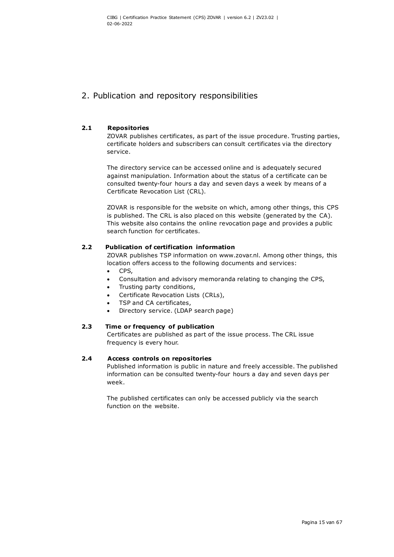## 2. Publication and repository responsibilities

## **2.1 Repositories**

ZOVAR publishes certificates, as part of the issue procedure. Trusting parties, certificate holders and subscribers can consult certificates via the directory service.

The directory service can be accessed online and is adequately secured against manipulation. Information about the status of a certificate can be consulted twenty-four hours a day and seven days a week by means of a Certificate Revocation List (CRL).

ZOVAR is responsible for the website on which, among other things, this CPS is published. The CRL is also placed on this website (generated by the CA). This website also contains the online revocation page and provides a public search function for certificates.

## **2.2 Publication of certification information**

ZOVAR publishes TSP information on www.zovar.nl. Among other things, this location offers access to the following documents and services:

- CPS,
- Consultation and advisory memoranda relating to changing the CPS,
- Trusting party conditions,
- Certificate Revocation Lists (CRLs),
- TSP and CA certificates,
- Directory service. (LDAP search page)

## **2.3 Time or frequency of publication**

Certificates are published as part of the issue process. The CRL issue frequency is every hour.

## **2.4 Access controls on repositories**

Published information is public in nature and freely accessible. The published information can be consulted twenty-four hours a day and seven days per week.

The published certificates can only be accessed publicly via the search function on the website.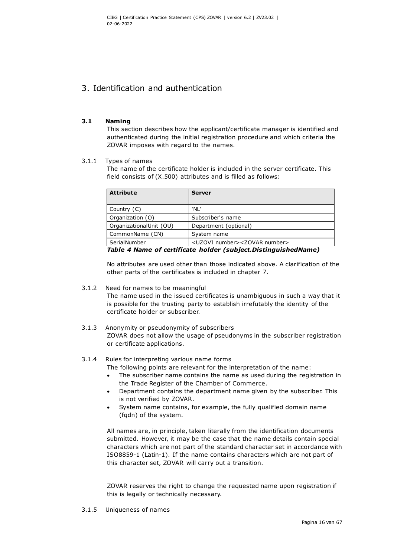## 3. Identification and authentication

#### **3.1 Naming**

This section describes how the applicant/certificate manager is identified and authenticated during the initial registration procedure and which criteria the ZOVAR imposes with regard to the names.

#### 3.1.1 Types of names

The name of the certificate holder is included in the server certificate. This field consists of (X.500) attributes and is filled as follows:

| <b>Attribute</b>        | <b>Server</b>                                      |
|-------------------------|----------------------------------------------------|
| Country (C)             | 'NL'                                               |
| Organization (O)        | Subscriber's name                                  |
| OrganizationalUnit (OU) | Department (optional)                              |
| CommonName (CN)         | System name                                        |
| SerialNumber            | <uzovi number=""><zovar number=""></zovar></uzovi> |

<span id="page-16-0"></span>*Table 4 Name of certificate holder (subject.DistinguishedName)*

No attributes are used other than those indicated above. A clarification of the other parts of the certificates is included in chapter 7.

#### 3.1.2 Need for names to be meaningful

The name used in the issued certificates is unambiguous in such a way that it is possible for the trusting party to establish irrefutably the identity of the certificate holder or subscriber.

3.1.3 Anonymity or pseudonymity of subscribers ZOVAR does not allow the usage of pseudonyms in the subscriber registration or certificate applications.

## 3.1.4 Rules for interpreting various name forms

- The following points are relevant for the interpretation of the name:
	- The subscriber name contains the name as used during the registration in the Trade Register of the Chamber of Commerce.
- Department contains the department name given by the subscriber. This is not verified by ZOVAR.
- System name contains, for example, the fully qualified domain name (fqdn) of the system.

All names are, in principle, taken literally from the identification documents submitted. However, it may be the case that the name details contain special characters which are not part of the standard character set in accordance with ISO8859-1 (Latin-1). If the name contains characters which are not part of this character set, ZOVAR will carry out a transition.

ZOVAR reserves the right to change the requested name upon registration if this is legally or technically necessary.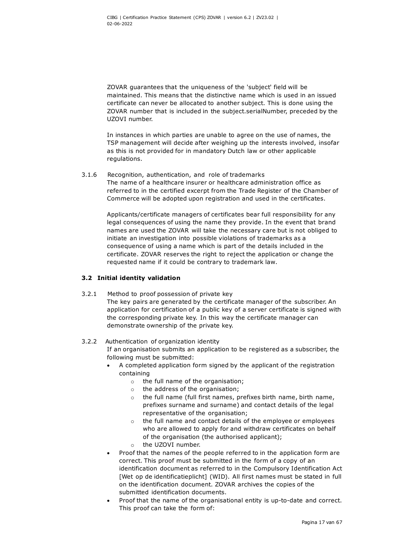ZOVAR guarantees that the uniqueness of the 'subject' field will be maintained. This means that the distinctive name which is used in an issued certificate can never be allocated to another subject. This is done using the ZOVAR number that is included in the subject.serialNumber, preceded by the UZOVI number.

In instances in which parties are unable to agree on the use of names, the TSP management will decide after weighing up the interests involved, insofar as this is not provided for in mandatory Dutch law or other applicable regulations.

## 3.1.6 Recognition, authentication, and role of trademarks The name of a healthcare insurer or healthcare administration office as referred to in the certified excerpt from the Trade Register of the Chamber of Commerce will be adopted upon registration and used in the certificates.

Applicants/certificate managers of certificates bear full responsibility for any legal consequences of using the name they provide. In the event that brand names are used the ZOVAR will take the necessary care but is not obliged to initiate an investigation into possible violations of trademarks as a consequence of using a name which is part of the details included in the certificate. ZOVAR reserves the right to reject the application or change the requested name if it could be contrary to trademark law.

## **3.2 Initial identity validation**

3.2.1 Method to proof possession of private key

The key pairs are generated by the certificate manager of the subscriber. An application for certification of a public key of a server certificate is signed with the corresponding private key. In this way the certificate manager can demonstrate ownership of the private key.

## 3.2.2 Authentication of organization identity

If an organisation submits an application to be registered as a subscriber, the following must be submitted:

- A completed application form signed by the applicant of the registration containing
	- o the full name of the organisation;
	- o the address of the organisation;
	- o the full name (full first names, prefixes birth name, birth name, prefixes surname and surname) and contact details of the legal representative of the organisation;
	- the full name and contact details of the employee or employees who are allowed to apply for and withdraw certificates on behalf of the organisation (the authorised applicant);
	- o the UZOVI number.
- Proof that the names of the people referred to in the application form are correct. This proof must be submitted in the form of a copy of an identification document as referred to in the Compulsory Identification Act [Wet op de identificatieplicht] (WID). All first names must be stated in full on the identification document. ZOVAR archives the copies of the submitted identification documents.
- Proof that the name of the organisational entity is up-to-date and correct. This proof can take the form of: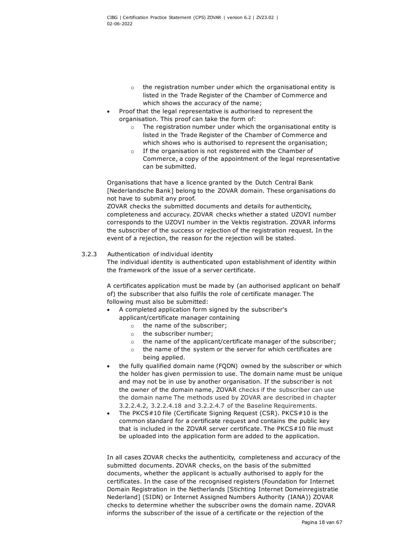- $\circ$  the registration number under which the organisational entity is listed in the Trade Register of the Chamber of Commerce and which shows the accuracy of the name;
- Proof that the legal representative is authorised to represent the organisation. This proof can take the form of:
	- o The registration number under which the organisational entity is listed in the Trade Register of the Chamber of Commerce and which shows who is authorised to represent the organisation;
	- o If the organisation is not registered with the Chamber of Commerce, a copy of the appointment of the legal representative can be submitted.

Organisations that have a licence granted by the Dutch Central Bank [Nederlandsche Bank] belong to the ZOVAR domain. These organisations do not have to submit any proof.

ZOVAR checks the submitted documents and details for authenticity, completeness and accuracy. ZOVAR checks whether a stated UZOVI number corresponds to the UZOVI number in the Vektis registration. ZOVAR informs the subscriber of the success or rejection of the registration request. In the event of a rejection, the reason for the rejection will be stated.

## 3.2.3 Authentication of individual identity

The individual identity is authenticated upon establishment of identity within the framework of the issue of a server certificate.

A certificates application must be made by (an authorised applicant on behalf of) the subscriber that also fulfils the role of certificate manager. The following must also be submitted:

- A completed application form signed by the subscriber's applicant/certificate manager containing
	- o the name of the subscriber;
	- o the subscriber number;
	- o the name of the applicant/certificate manager of the subscriber;
	- o the name of the system or the server for which certificates are being applied.
- the fully qualified domain name (FQDN) owned by the subscriber or which the holder has given permission to use. The domain name must be unique and may not be in use by another organisation. If the subscriber is not the owner of the domain name, ZOVAR checks if the subscriber can use the domain name The methods used by ZOVAR are described in chapter 3.2.2.4.2, 3.2.2.4.18 and 3.2.2.4.7 of the Baseline Requirements.
- The PKCS#10 file (Certificate Signing Request (CSR). PKCS#10 is the common standard for a certificate request and contains the public key that is included in the ZOVAR server certificate. The PKCS#10 file must be uploaded into the application form are added to the application.

In all cases ZOVAR checks the authenticity, completeness and accuracy of the submitted documents. ZOVAR checks, on the basis of the submitted documents, whether the applicant is actually authorised to apply for the certificates. In the case of the recognised registers (Foundation for Internet Domain Registration in the Netherlands [Stichting Internet Domeinregistratie Nederland] (SIDN) or Internet Assigned Numbers Authority (IANA)) ZOVAR checks to determine whether the subscriber owns the domain name. ZOVAR informs the subscriber of the issue of a certificate or the rejection of the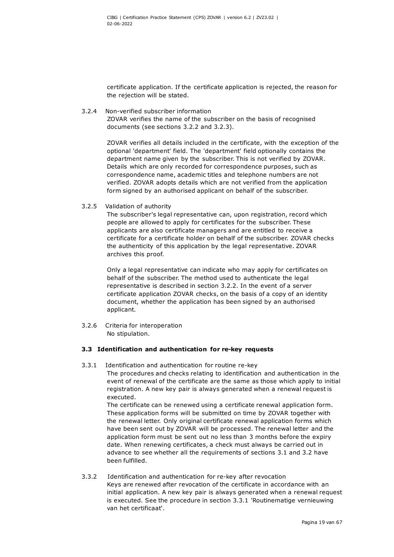certificate application. If the certificate application is rejected, the reason for the rejection will be stated.

3.2.4 Non-verified subscriber information ZOVAR verifies the name of the subscriber on the basis of recognised documents (see sections 3.2.2 and 3.2.3).

> ZOVAR verifies all details included in the certificate, with the exception of the optional 'department' field. The 'department' field optionally contains the department name given by the subscriber. This is not verified by ZOVAR. Details which are only recorded for correspondence purposes, such as correspondence name, academic titles and telephone numbers are not verified. ZOVAR adopts details which are not verified from the application form signed by an authorised applicant on behalf of the subscriber.

3.2.5 Validation of authority

The subscriber's legal representative can, upon registration, record which people are allowed to apply for certificates for the subscriber. These applicants are also certificate managers and are entitled to receive a certificate for a certificate holder on behalf of the subscriber. ZOVAR checks the authenticity of this application by the legal representative. ZOVAR archives this proof.

Only a legal representative can indicate who may apply for certificates on behalf of the subscriber. The method used to authenticate the legal representative is described in section 3.2.2. In the event of a server certificate application ZOVAR checks, on the basis of a copy of an identity document, whether the application has been signed by an authorised applicant.

3.2.6 Criteria for interoperation No stipulation.

## **3.3 Identification and authentication for re-key requests**

3.3.1 Identification and authentication for routine re-key The procedures and checks relating to identification and authentication in the event of renewal of the certificate are the same as those which apply to initial registration. A new key pair is always generated when a renewal request is executed.

The certificate can be renewed using a certificate renewal application form. These application forms will be submitted on time by ZOVAR together with the renewal letter. Only original certificate renewal application forms which have been sent out by ZOVAR will be processed. The renewal letter and the application form must be sent out no less than 3 months before the expiry date. When renewing certificates, a check must always be carried out in advance to see whether all the requirements of sections 3.1 and 3.2 have been fulfilled.

3.3.2 Identification and authentication for re-key after revocation Keys are renewed after revocation of the certificate in accordance with an initial application. A new key pair is always generated when a renewal request is executed. See the procedure in section 3.3.1 'Routinematige vernieuwing van het certificaat'.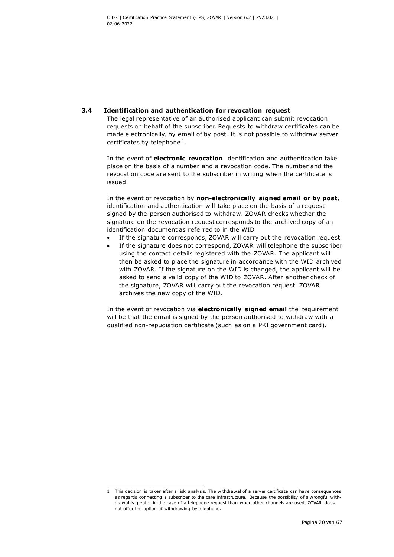#### **3.4 Identification and authentication for revocation request**

The legal representative of an authorised applicant can submit revocation requests on behalf of the subscriber. Requests to withdraw certificates can be made electronically, by email of by post. It is not possible to withdraw server certificates by telephone  $1$ .

In the event of **electronic revocation** identification and authentication take place on the basis of a number and a revocation code. The number and the revocation code are sent to the subscriber in writing when the certificate is issued.

In the event of revocation by **non-electronically signed email or by post**, identification and authentication will take place on the basis of a request signed by the person authorised to withdraw. ZOVAR checks whether the signature on the revocation request corresponds to the archived copy of an identification document as referred to in the WID.

- If the signature corresponds, ZOVAR will carry out the revocation request.
- If the signature does not correspond, ZOVAR will telephone the subscriber using the contact details registered with the ZOVAR. The applicant will then be asked to place the signature in accordance with the WID archived with ZOVAR. If the signature on the WID is changed, the applicant will be asked to send a valid copy of the WID to ZOVAR. After another check of the signature, ZOVAR will carry out the revocation request. ZOVAR archives the new copy of the WID.

In the event of revocation via **electronically signed email** the requirement will be that the email is signed by the person authorised to withdraw with a qualified non-repudiation certificate (such as on a PKI government card).

<span id="page-20-0"></span><sup>1</sup> This decision is taken after a risk analysis. The withdrawal of a server certificate can have consequences as regards connecting a subscriber to the care infrastructure. Because the possibility of a wrongful withdrawal is greater in the case of a telephone request than when other channels are used, ZOVAR does not offer the option of withdrawing by telephone.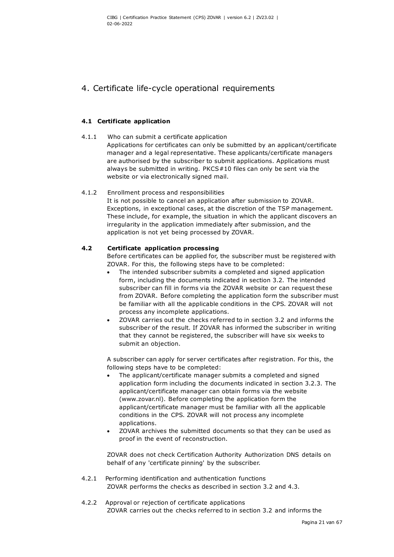## 4. Certificate life-cycle operational requirements

## **4.1 Certificate application**

## 4.1.1 Who can submit a certificate application

Applications for certificates can only be submitted by an applicant/certificate manager and a legal representative. These applicants/certificate managers are authorised by the subscriber to submit applications. Applications must always be submitted in writing. PKCS#10 files can only be sent via the website or via electronically signed mail.

## 4.1.2 Enrollment process and responsibilities

It is not possible to cancel an application after submission to ZOVAR. Exceptions, in exceptional cases, at the discretion of the TSP management. These include, for example, the situation in which the applicant discovers an irregularity in the application immediately after submission, and the application is not yet being processed by ZOVAR.

## **4.2 Certificate application processing**

Before certificates can be applied for, the subscriber must be registered with ZOVAR. For this, the following steps have to be completed:

- The intended subscriber submits a completed and signed application form, including the documents indicated in section 3.2. The intended subscriber can fill in forms via the ZOVAR website or can request these from ZOVAR. Before completing the application form the subscriber must be familiar with all the applicable conditions in the CPS. ZOVAR will not process any incomplete applications.
- ZOVAR carries out the checks referred to in section 3.2 and informs the subscriber of the result. If ZOVAR has informed the subscriber in writing that they cannot be registered, the subscriber will have six weeks to submit an objection.

A subscriber can apply for server certificates after registration. For this, the following steps have to be completed:

- The applicant/certificate manager submits a completed and signed application form including the documents indicated in section 3.2.3. The applicant/certificate manager can obtain forms via the website (www.zovar.nl). Before completing the application form the applicant/certificate manager must be familiar with all the applicable conditions in the CPS. ZOVAR will not process any incomplete applications.
- ZOVAR archives the submitted documents so that they can be used as proof in the event of reconstruction.

ZOVAR does not check Certification Authority Authorization DNS details on behalf of any 'certificate pinning' by the subscriber.

- 4.2.1 Performing identification and authentication functions ZOVAR performs the checks as described in section 3.2 and 4.3.
- 4.2.2 Approval or rejection of certificate applications ZOVAR carries out the checks referred to in section 3.2 and informs the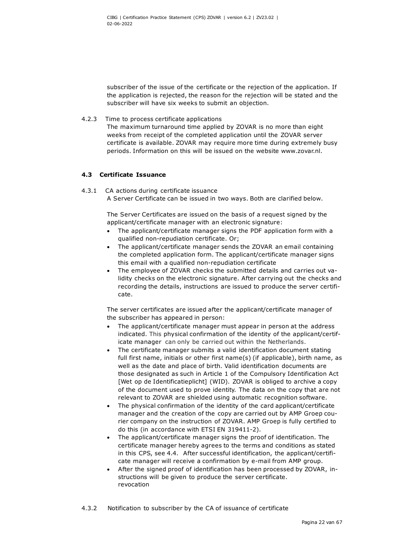subscriber of the issue of the certificate or the rejection of the application. If the application is rejected, the reason for the rejection will be stated and the subscriber will have six weeks to submit an objection.

4.2.3 Time to process certificate applications

The maximum turnaround time applied by ZOVAR is no more than eight weeks from receipt of the completed application until the ZOVAR server certificate is available. ZOVAR may require more time during extremely busy periods. Information on this will be issued on the website [www.zovar.nl.](http://www.zovar.nl/)

## **4.3 Certificate Issuance**

## 4.3.1 CA actions during certificate issuance

A Server Certificate can be issued in two ways. Both are clarified below.

The Server Certificates are issued on the basis of a request signed by the applicant/certificate manager with an electronic signature:

- The applicant/certificate manager signs the PDF application form with a qualified non-repudiation certificate. Or;
- The applicant/certificate manager sends the ZOVAR an email containing the completed application form. The applicant/certificate manager signs this email with a qualified non-repudiation certificate
- The employee of ZOVAR checks the submitted details and carries out validity checks on the electronic signature. After carrying out the checks and recording the details, instructions are issued to produce the server certificate.

The server certificates are issued after the applicant/certificate manager of the subscriber has appeared in person:

- The applicant/certificate manager must appear in person at the address indicated. This physical confirmation of the identity of the applicant/certificate manager can only be carried out within the Netherlands.
- The certificate manager submits a valid identification document stating full first name, initials or other first name(s) (if applicable), birth name, as well as the date and place of birth. Valid identification documents are those designated as such in Article 1 of the Compulsory Identification Act [Wet op de Identificatieplicht] (WID). ZOVAR is obliged to archive a copy of the document used to prove identity. The data on the copy that are not relevant to ZOVAR are shielded using automatic recognition software.
- The physical confirmation of the identity of the card applicant/certificate manager and the creation of the copy are carried out by AMP Groep courier company on the instruction of ZOVAR. AMP Groep is fully certified to do this (in accordance with ETSI EN 319411-2).
- The applicant/certificate manager signs the proof of identification. The certificate manager hereby agrees to the terms and conditions as stated in this CPS, see 4.4. After successful identification, the applicant/certificate manager will receive a confirmation by e-mail from AMP group.
- After the signed proof of identification has been processed by ZOVAR, instructions will be given to produce the server certificate. revocation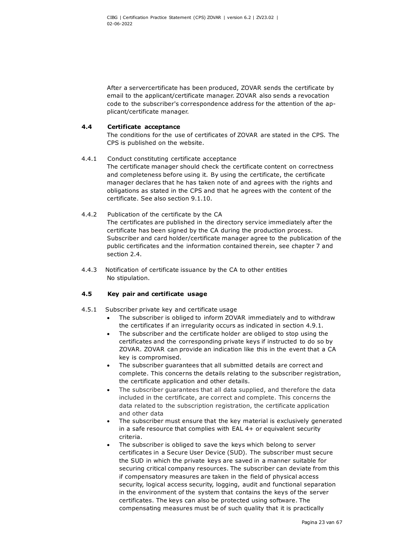After a servercertificate has been produced, ZOVAR sends the certificate by email to the applicant/certificate manager. ZOVAR also sends a revocation code to the subscriber's correspondence address for the attention of the applicant/certificate manager.

## **4.4 Certificate acceptance**

The conditions for the use of certificates of ZOVAR are stated in the CPS. The CPS is published on the website.

## 4.4.1 Conduct constituting certificate acceptance

The certificate manager should check the certificate content on correctness and completeness before using it. By using the certificate, the certificate manager declares that he has taken note of and agrees with the rights and obligations as stated in the CPS and that he agrees with the content of the certificate. See also section 9.1.10.

- 4.4.2 Publication of the certificate by the CA The certificates are published in the directory service immediately after the certificate has been signed by the CA during the production process. Subscriber and card holder/certificate manager agree to the publication of the public certificates and the information contained therein, see chapter 7 and section 2.4.
- 4.4.3 Notification of certificate issuance by the CA to other entities No stipulation.

## **4.5 Key pair and certificate usage**

- 4.5.1 Subscriber private key and certificate usage
	- The subscriber is obliged to inform ZOVAR immediately and to withdraw the certificates if an irregularity occurs as indicated in section 4.9.1.
	- The subscriber and the certificate holder are obliged to stop using the certificates and the corresponding private keys if instructed to do so by ZOVAR. ZOVAR can provide an indication like this in the event that a CA key is compromised.
	- The subscriber guarantees that all submitted details are correct and complete. This concerns the details relating to the subscriber registration, the certificate application and other details.
	- The subscriber guarantees that all data supplied, and therefore the data included in the certificate, are correct and complete. This concerns the data related to the subscription registration, the certificate application and other data
	- The subscriber must ensure that the key material is exclusively generated in a safe resource that complies with EAL 4+ or equivalent security criteria.
	- The subscriber is obliged to save the keys which belong to server certificates in a Secure User Device (SUD). The subscriber must secure the SUD in which the private keys are saved in a manner suitable for securing critical company resources. The subscriber can deviate from this if compensatory measures are taken in the field of physical access security, logical access security, logging, audit and functional separation in the environment of the system that contains the keys of the server certificates. The keys can also be protected using software. The compensating measures must be of such quality that it is practically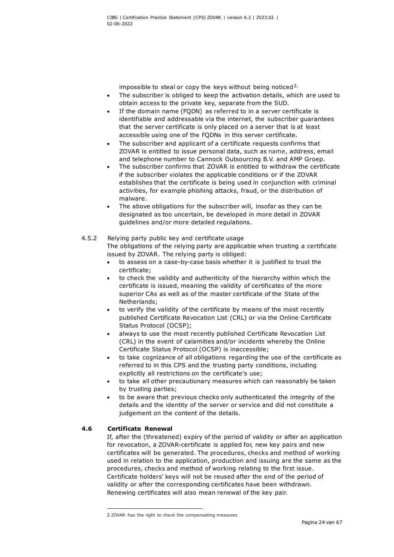impossible to steal or copy the keys without being noticed<sup>[2](#page-24-1).</sup>

- The subscriber is obliged to keep the activation details, which are used to obtain access to the private key, separate from the SUD.
- If the domain name (FODN) as referred to in a server certificate is identifiable and addressable via the internet, the subscriber guarantees that the server certificate is only placed on a server that is at least accessible using one of the FQDNs in this server certificate.
- The subscriber and applicant of a certificate requests confirms that ZOVAR is entitled to issue personal data, such as name, address, email and telephone number to Cannock Outsourcing B.V. and AMP Groep.
- The subscriber confirms that ZOVAR is entitled to withdraw the certificate if the subscriber violates the applicable conditions or if the ZOVAR establishes that the certificate is being used in conjunction with criminal activities, for example phishing attacks, fraud, or the distribution of malware.
- <span id="page-24-0"></span>The above obligations for the subscriber will, insofar as they can be designated as too uncertain, be developed in more detail in ZOVAR guidelines and/or more detailed regulations.

## 4.5.2 Relying party public key and certificate usage The obligations of the relying party are applicable when trusting a certificate issued by ZOVAR. The relying party is obliged:

- to assess on a case-by-case basis whether it is justified to trust the certificate;
- to check the validity and authenticity of the hierarchy within which the certificate is issued, meaning the validity of certificates of the more superior CAs as well as of the master certificate of the State of the Netherlands;
- to verify the validity of the certificate by means of the most recently published Certificate Revocation List (CRL) or via the Online Certificate Status Protocol (OCSP);
- always to use the most recently published Certificate Revocation List (CRL) in the event of calamities and/or incidents whereby the Online Certificate Status Protocol (OCSP) is inaccessible;
- to take cognizance of all obligations regarding the use of the certificate as referred to in this CPS and the trusting party conditions, including explicitly all restrictions on the certificate's use;
- to take all other precautionary measures which can reasonably be taken by trusting parties;
- to be aware that previous checks only authenticated the integrity of the details and the identity of the server or service and did not constitute a judgement on the content of the details.

## **4.6 Certificate Renewal**

If, after the (threatened) expiry of the period of validity or after an application for revocation, a ZOVAR-certificate is applied for, new key pairs and new certificates will be generated. The procedures, checks and method of working used in relation to the application, production and issuing are the same as the procedures, checks and method of working relating to the first issue. Certificate holders' keys will not be reused after the end of the period of validity or after the corresponding certificates have been withdrawn. Renewing certificates will also mean renewal of the key pair.

<span id="page-24-1"></span><sup>2</sup> ZOVAR has the right to check the compensating measures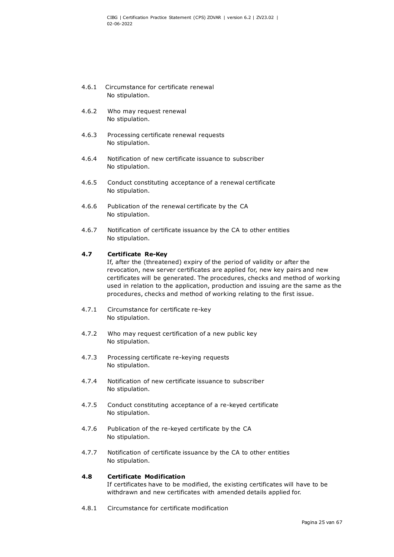- 4.6.1 Circumstance for certificate renewal No stipulation.
- 4.6.2 Who may request renewal No stipulation.
- 4.6.3 Processing certificate renewal requests No stipulation.
- 4.6.4 Notification of new certificate issuance to subscriber No stipulation.
- 4.6.5 Conduct constituting acceptance of a renewal certificate No stipulation.
- 4.6.6 Publication of the renewal certificate by the CA No stipulation.
- 4.6.7 Notification of certificate issuance by the CA to other entities No stipulation.

#### **4.7 Certificate Re-Key**

If, after the (threatened) expiry of the period of validity or after the revocation, new server certificates are applied for, new key pairs and new certificates will be generated. The procedures, checks and method of working used in relation to the application, production and issuing are the same as the procedures, checks and method of working relating to the first issue.

- 4.7.1 Circumstance for certificate re-key No stipulation.
- 4.7.2 Who may request certification of a new public key No stipulation.
- 4.7.3 Processing certificate re-keying requests No stipulation.
- 4.7.4 Notification of new certificate issuance to subscriber No stipulation.
- 4.7.5 Conduct constituting acceptance of a re-keyed certificate No stipulation.
- 4.7.6 Publication of the re-keyed certificate by the CA No stipulation.
- 4.7.7 Notification of certificate issuance by the CA to other entities No stipulation.

## **4.8 Certificate Modification**

If certificates have to be modified, the existing certificates will have to be withdrawn and new certificates with amended details applied for.

4.8.1 Circumstance for certificate modification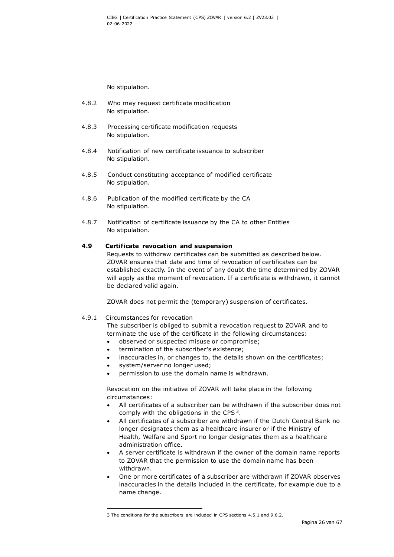No stipulation.

- 4.8.2 Who may request certificate modification No stipulation.
- 4.8.3 Processing certificate modification requests No stipulation.
- 4.8.4 Notification of new certificate issuance to subscriber No stipulation.
- 4.8.5 Conduct constituting acceptance of modified certificate No stipulation.
- 4.8.6 Publication of the modified certificate by the CA No stipulation.
- 4.8.7 Notification of certificate issuance by the CA to other Entities No stipulation.

#### **4.9 Certificate revocation and suspension**

Requests to withdraw certificates can be submitted as described below. ZOVAR ensures that date and time of revocation of certificates can be established exactly. In the event of any doubt the time determined by ZOVAR will apply as the moment of revocation. If a certificate is withdrawn, it cannot be declared valid again.

ZOVAR does not permit the (temporary) suspension of certificates.

#### 4.9.1 Circumstances for revocation

The subscriber is obliged to submit a revocation request to ZOVAR and to terminate the use of the certificate in the following circumstances:

- observed or suspected misuse or compromise;
- termination of the subscriber's existence;
- inaccuracies in, or changes to, the details shown on the certificates;
- system/server no longer used;
- permission to use the domain name is withdrawn.

Revocation on the initiative of ZOVAR will take place in the following circumstances:

- All certificates of a subscriber can be withdrawn if the subscriber does not comply with the obligations in the CPS<sup>3</sup>.
- All certificates of a subscriber are withdrawn if the Dutch Central Bank no longer designates them as a healthcare insurer or if the Ministry of Health, Welfare and Sport no longer designates them as a healthcare administration office.
- A server certificate is withdrawn if the owner of the domain name reports to ZOVAR that the permission to use the domain name has been withdrawn.
- One or more certificates of a subscriber are withdrawn if ZOVAR observes inaccuracies in the details included in the certificate, for example due to a name change.

<span id="page-26-0"></span><sup>3</sup> The conditions for the subscribers are included in CPS sections 4.5.1 and 9.6.2.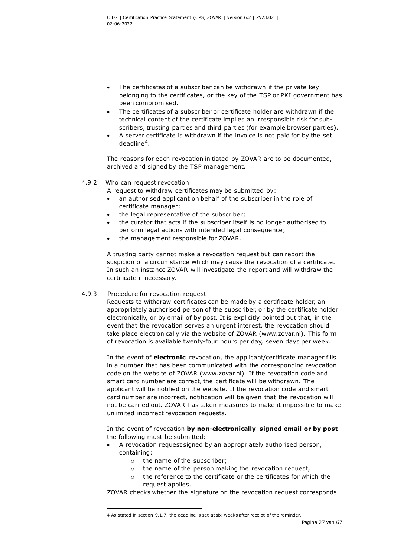- The certificates of a subscriber can be withdrawn if the private key belonging to the certificates, or the key of the TSP or PKI government has been compromised.
- The certificates of a subscriber or certificate holder are withdrawn if the technical content of the certificate implies an irresponsible risk for subscribers, trusting parties and third parties (for example browser parties).
- A server certificate is withdrawn if the invoice is not paid for by the set deadline [4](#page-27-0).

The reasons for each revocation initiated by ZOVAR are to be documented, archived and signed by the TSP management.

#### 4.9.2 Who can request revocation

A request to withdraw certificates may be submitted by:

- an authorised applicant on behalf of the subscriber in the role of certificate manager;
- the legal representative of the subscriber;
- the curator that acts if the subscriber itself is no longer authorised to perform legal actions with intended legal consequence;
- the management responsible for ZOVAR.

A trusting party cannot make a revocation request but can report the suspicion of a circumstance which may cause the revocation of a certificate. In such an instance ZOVAR will investigate the report and will withdraw the certificate if necessary.

#### 4.9.3 Procedure for revocation request

Requests to withdraw certificates can be made by a certificate holder, an appropriately authorised person of the subscriber, or by the certificate holder electronically, or by email of by post. It is explicitly pointed out that, in the event that the revocation serves an urgent interest, the revocation should take place electronically via the website of ZOVAR (www.zovar.nl). This form of revocation is available twenty-four hours per day, seven days per week.

In the event of **electronic** revocation, the applicant/certificate manager fills in a number that has been communicated with the corresponding revocation code on the website of ZOVAR (www.zovar.nl). If the revocation code and smart card number are correct, the certificate will be withdrawn. The applicant will be notified on the website. If the revocation code and smart card number are incorrect, notification will be given that the revocation will not be carried out. ZOVAR has taken measures to make it impossible to make unlimited incorrect revocation requests.

In the event of revocation **by non-electronically signed email or by post** the following must be submitted:

- A revocation request signed by an appropriately authorised person, containing:
	- o the name of the subscriber;
	- o the name of the person making the revocation request;
	- o the reference to the certificate or the certificates for which the request applies.

ZOVAR checks whether the signature on the revocation request corresponds

<span id="page-27-0"></span><sup>4</sup> As stated in section 9.1.7, the deadline is set at six weeks after receipt of the reminder.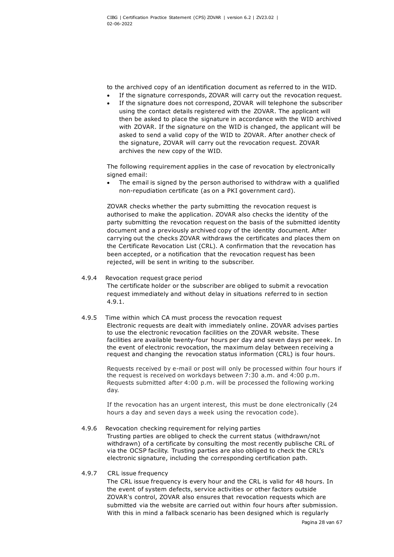to the archived copy of an identification document as referred to in the WID.

- If the signature corresponds, ZOVAR will carry out the revocation request.
- If the signature does not correspond, ZOVAR will telephone the subscriber using the contact details registered with the ZOVAR. The applicant will then be asked to place the signature in accordance with the WID archived with ZOVAR. If the signature on the WID is changed, the applicant will be asked to send a valid copy of the WID to ZOVAR. After another check of the signature, ZOVAR will carry out the revocation request. ZOVAR archives the new copy of the WID.

The following requirement applies in the case of revocation by electronically signed email:

The email is signed by the person authorised to withdraw with a qualified non-repudiation certificate (as on a PKI government card).

ZOVAR checks whether the party submitting the revocation request is authorised to make the application. ZOVAR also checks the identity of the party submitting the revocation request on the basis of the submitted identity document and a previously archived copy of the identity document. After carrying out the checks ZOVAR withdraws the certificates and places them on the Certificate Revocation List (CRL). A confirmation that the revocation has been accepted, or a notification that the revocation request has been rejected, will be sent in writing to the subscriber.

## 4.9.4 Revocation request grace period

The certificate holder or the subscriber are obliged to submit a revocation request immediately and without delay in situations referred to in section 4.9.1.

#### 4.9.5 Time within which CA must process the revocation request

Electronic requests are dealt with immediately online. ZOVAR advises parties to use the electronic revocation facilities on the ZOVAR website. These facilities are available twenty-four hours per day and seven days per week. In the event of electronic revocation, the maximum delay between receiving a request and changing the revocation status information (CRL) is four hours.

Requests received by e-mail or post will only be processed within four hours if the request is received on workdays between 7:30 a.m. and 4:00 p.m. Requests submitted after 4:00 p.m. will be processed the following working day.

If the revocation has an urgent interest, this must be done electronically (24 hours a day and seven days a week using the revocation code).

#### 4.9.6 Revocation checking requirement for relying parties

Trusting parties are obliged to check the current status (withdrawn/not withdrawn) of a certificate by consulting the most recently publische CRL of via the OCSP facility. Trusting parties are also obliged to check the CRL's electronic signature, including the corresponding certification path.

#### 4.9.7 CRL issue frequency

The CRL issue frequency is every hour and the CRL is valid for 48 hours. In the event of system defects, service activities or other factors outside ZOVAR's control, ZOVAR also ensures that revocation requests which are submitted via the website are carried out within four hours after submission. With this in mind a fallback scenario has been designed which is regularly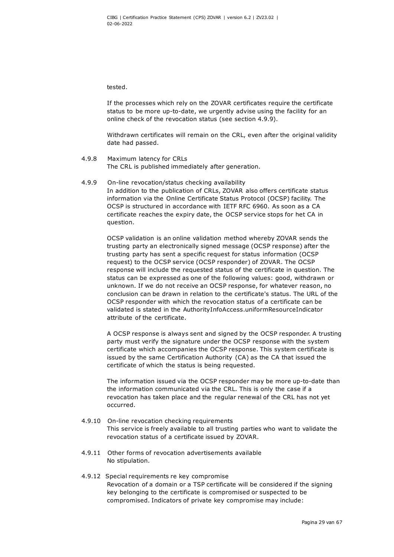tested.

If the processes which rely on the ZOVAR certificates require the certificate status to be more up-to-date, we urgently advise using the facility for an online check of the revocation status (see section 4.9.9).

Withdrawn certificates will remain on the CRL, even after the original validity date had passed.

- 4.9.8 Maximum latency for CRLs The CRL is published immediately after generation.
- 4.9.9 On-line revocation/status checking availability In addition to the publication of CRLs, ZOVAR also offers certificate status information via the Online Certificate Status Protocol (OCSP) facility. The OCSP is structured in accordance with IETF RFC 6960. As soon as a CA certificate reaches the expiry date, the OCSP service stops for het CA in question.

OCSP validation is an online validation method whereby ZOVAR sends the trusting party an electronically signed message (OCSP response) after the trusting party has sent a specific request for status information (OCSP request) to the OCSP service (OCSP responder) of ZOVAR. The OCSP response will include the requested status of the certificate in question. The status can be expressed as one of the following values: good, withdrawn or unknown. If we do not receive an OCSP response, for whatever reason, no conclusion can be drawn in relation to the certificate's status. The URL of the OCSP responder with which the revocation status of a certificate can be validated is stated in the AuthorityInfoAccess.uniformResourceIndicator attribute of the certificate.

A OCSP response is always sent and signed by the OCSP responder. A trusting party must verify the signature under the OCSP response with the system certificate which accompanies the OCSP response. This system certificate is issued by the same Certification Authority (CA) as the CA that issued the certificate of which the status is being requested.

The information issued via the OCSP responder may be more up-to-date than the information communicated via the CRL. This is only the case if a revocation has taken place and the regular renewal of the CRL has not yet occurred.

- 4.9.10 On-line revocation checking requirements This service is freely available to all trusting parties who want to validate the revocation status of a certificate issued by ZOVAR.
- 4.9.11 Other forms of revocation advertisements available No stipulation.
- 4.9.12 Special requirements re key compromise Revocation of a domain or a TSP certificate will be considered if the signing key belonging to the certificate is compromised or suspected to be compromised. Indicators of private key compromise may include: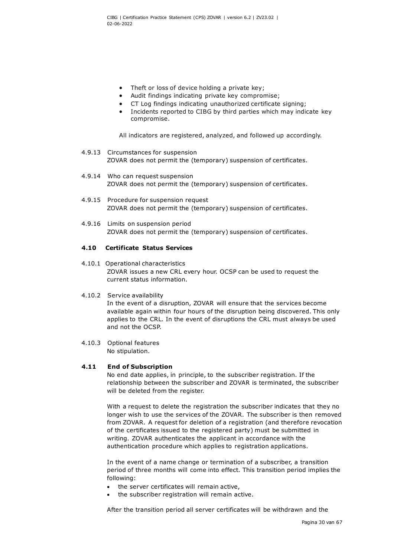- Theft or loss of device holding a private key:
- Audit findings indicating private key compromise;
- CT Log findings indicating unauthorized certificate signing;
- Incidents reported to CIBG by third parties which may indicate key compromise.

All indicators are registered, analyzed, and followed up accordingly.

- 4.9.13 Circumstances for suspension ZOVAR does not permit the (temporary) suspension of certificates.
- 4.9.14 Who can request suspension ZOVAR does not permit the (temporary) suspension of certificates.
- 4.9.15 Procedure for suspension request ZOVAR does not permit the (temporary) suspension of certificates.
- 4.9.16 Limits on suspension period ZOVAR does not permit the (temporary) suspension of certificates.

#### **4.10 Certificate Status Services**

- 4.10.1 Operational characteristics ZOVAR issues a new CRL every hour. OCSP can be used to request the current status information.
- 4.10.2 Service availability

In the event of a disruption, ZOVAR will ensure that the services become available again within four hours of the disruption being discovered. This only applies to the CRL. In the event of disruptions the CRL must always be used and not the OCSP.

4.10.3 Optional features No stipulation.

#### **4.11 End of Subscription**

No end date applies, in principle, to the subscriber registration. If the relationship between the subscriber and ZOVAR is terminated, the subscriber will be deleted from the register.

With a request to delete the registration the subscriber indicates that they no longer wish to use the services of the ZOVAR. The subscriber is then removed from ZOVAR. A request for deletion of a registration (and therefore revocation of the certificates issued to the registered party) must be submitted in writing. ZOVAR authenticates the applicant in accordance with the authentication procedure which applies to registration applications.

In the event of a name change or termination of a subscriber, a transition period of three months will come into effect. This transition period implies the following:

- the server certificates will remain active,
- the subscriber registration will remain active.

After the transition period all server certificates will be withdrawn and the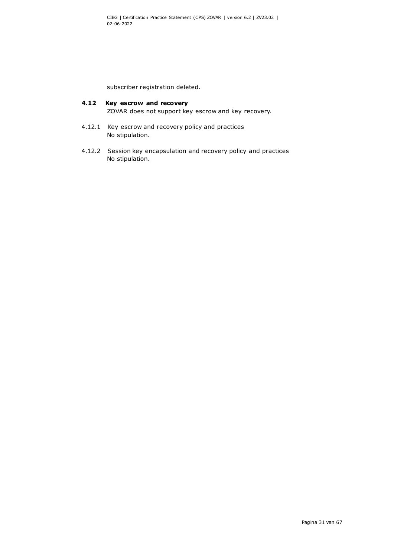subscriber registration deleted.

## **4.12 Key escrow and recovery**

ZOVAR does not support key escrow and key recovery.

- 4.12.1 Key escrow and recovery policy and practices No stipulation.
- 4.12.2 Session key encapsulation and recovery policy and practices No stipulation.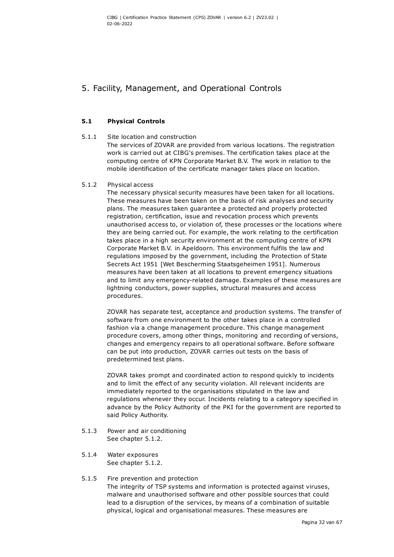## 5. Facility, Management, and Operational Controls

## **5.1 Physical Controls**

## 5.1.1 Site location and construction

The services of ZOVAR are provided from various locations. The registration work is carried out at CIBG's premises. The certification takes place at the computing centre of KPN Corporate Market B.V. The work in relation to the mobile identification of the certificate manager takes place on location.

## 5.1.2 Physical access

<span id="page-32-0"></span>The necessary physical security measures have been taken for all locations. These measures have been taken on the basis of risk analyses and security plans. The measures taken guarantee a protected and properly protected registration, certification, issue and revocation process which prevents unauthorised access to, or violation of, these processes or the locations where they are being carried out. For example, the work relating to the certification takes place in a high security environment at the computing centre of KPN Corporate Market B.V. in Apeldoorn. This environment fulfils the law and regulations imposed by the government, including the Protection of State Secrets Act 1951 [Wet Bescherming Staatsgeheimen 1951]. Numerous measures have been taken at all locations to prevent emergency situations and to limit any emergency-related damage. Examples of these measures are lightning conductors, power supplies, structural measures and access procedures.

ZOVAR has separate test, acceptance and production systems. The transfer of software from one environment to the other takes place in a controlled fashion via a change management procedure. This change management procedure covers, among other things, monitoring and recording of versions, changes and emergency repairs to all operational software. Before software can be put into production, ZOVAR carries out tests on the basis of predetermined test plans.

ZOVAR takes prompt and coordinated action to respond quickly to incidents and to limit the effect of any security violation. All relevant incidents are immediately reported to the organisations stipulated in the law and regulations whenever they occur. Incidents relating to a category specified in advance by the Policy Authority of the PKI for the government are reported to said Policy Authority.

- 5.1.3 Power and air conditioning See chapter [5.1.2.](#page-32-0)
- 5.1.4 Water exposures See chapter 5.1.2.
- 5.1.5 Fire prevention and protection The integrity of TSP systems and information is protected against viruses, malware and unauthorised software and other possible sources that could lead to a disruption of the services, by means of a combination of suitable physical, logical and organisational measures. These measures are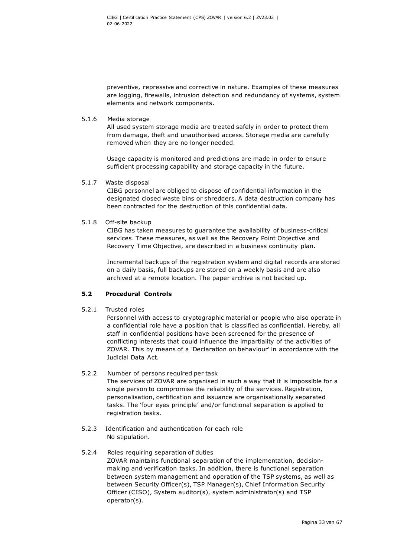preventive, repressive and corrective in nature. Examples of these measures are logging, firewalls, intrusion detection and redundancy of systems, system elements and network components.

5.1.6 Media storage

All used system storage media are treated safely in order to protect them from damage, theft and unauthorised access. Storage media are carefully removed when they are no longer needed.

Usage capacity is monitored and predictions are made in order to ensure sufficient processing capability and storage capacity in the future.

5.1.7 Waste disposal

CIBG personnel are obliged to dispose of confidential information in the designated closed waste bins or shredders. A data destruction company has been contracted for the destruction of this confidential data.

5.1.8 Off-site backup

CIBG has taken measures to guarantee the availability of business-critical services. These measures, as well as the Recovery Point Objective and Recovery Time Objective, are described in a business continuity plan.

Incremental backups of the registration system and digital records are stored on a daily basis, full backups are stored on a weekly basis and are also archived at a remote location. The paper archive is not backed up.

## **5.2 Procedural Controls**

5.2.1 Trusted roles

Personnel with access to cryptographic material or people who also operate in a confidential role have a position that is classified as confidential. Hereby, all staff in confidential positions have been screened for the presence of conflicting interests that could influence the impartiality of the activities of ZOVAR. This by means of a 'Declaration on behaviour' in accordance with the Judicial Data Act.

- 5.2.2 Number of persons required per task The services of ZOVAR are organised in such a way that it is impossible for a single person to compromise the reliability of the services. Registration, personalisation, certification and issuance are organisationally separated tasks. The 'four eyes principle' and/or functional separation is applied to registration tasks.
- 5.2.3 Identification and authentication for each role No stipulation.
- 5.2.4 Roles requiring separation of duties ZOVAR maintains functional separation of the implementation, decisionmaking and verification tasks. In addition, there is functional separation between system management and operation of the TSP systems, as well as between Security Officer(s), TSP Manager(s), Chief Information Security Officer (CISO), System auditor(s), system administrator(s) and TSP operator(s).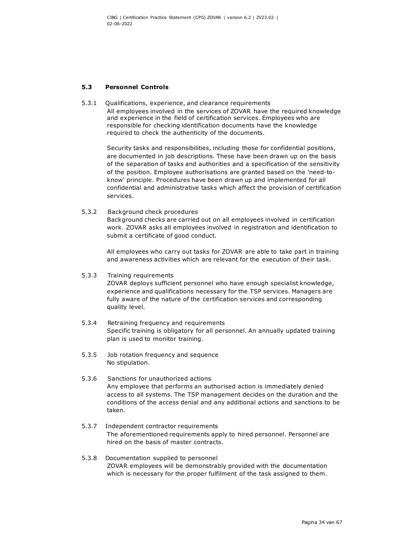## **5.3 Personnel Controls**

5.3.1 Qualifications, experience, and clearance requirements All employees involved in the services of ZOVAR have the required knowledge and experience in the field of certification services. Employees who are responsible for checking identification documents have the knowledge required to check the authenticity of the documents.

Security tasks and responsibilities, including those for confidential positions, are documented in job descriptions. These have been drawn up on the basis of the separation of tasks and authorities and a specification of the sensitivity of the position. Employee authorisations are granted based on the 'need-toknow' principle. Procedures have been drawn up and implemented for all confidential and administrative tasks which affect the provision of certification services.

#### 5.3.2 Background check procedures

Background checks are carried out on all employees involved in certification work. ZOVAR asks all employees involved in registration and identification to submit a certificate of good conduct.

All employees who carry out tasks for ZOVAR are able to take part in training and awareness activities which are relevant for the execution of their task.

#### 5.3.3 Training requirements

ZOVAR deploys sufficient personnel who have enough specialist knowledge, experience and qualifications necessary for the TSP services. Managers are fully aware of the nature of the certification services and corresponding quality level.

- 5.3.4 Retraining frequency and requirements Specific training is obligatory for all personnel. An annually updated training plan is used to monitor training.
- 5.3.5 Job rotation frequency and sequence No stipulation.
- 5.3.6 Sanctions for unauthorized actions Any employee that performs an authorised action is immediately denied access to all systems. The TSP management decides on the duration and the conditions of the access denial and any additional actions and sanctions to be taken.
- 5.3.7 Independent contractor requirements The aforementioned requirements apply to hired personnel. Personnel are hired on the basis of master contracts.
- 5.3.8 Documentation supplied to personnel ZOVAR employees will be demonstrably provided with the documentation which is necessary for the proper fulfilment of the task assigned to them.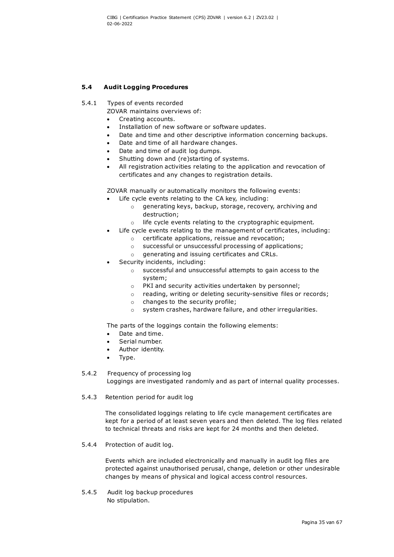## **5.4 Audit Logging Procedures**

- 5.4.1 Types of events recorded
	- ZOVAR maintains overviews of:
	- Creating accounts.
	- Installation of new software or software updates.
	- Date and time and other descriptive information concerning backups.
	- Date and time of all hardware changes.
	- Date and time of audit log dumps.
	- Shutting down and (re)starting of systems.
	- All registration activities relating to the application and revocation of certificates and any changes to registration details.

ZOVAR manually or automatically monitors the following events:

- Life cycle events relating to the CA key, including:
	- o generating keys, backup, storage, recovery, archiving and destruction;
	- o life cycle events relating to the cryptographic equipment.
- Life cycle events relating to the management of certificates, including:
	- o certificate applications, reissue and revocation;
	- o successful or unsuccessful processing of applications;
	- o generating and issuing certificates and CRLs.
- Security incidents, including:
	- o successful and unsuccessful attempts to gain access to the system;
	- o PKI and security activities undertaken by personnel;
	- o reading, writing or deleting security-sensitive files or records;
	- o changes to the security profile;
	- o system crashes, hardware failure, and other irregularities.

The parts of the loggings contain the following elements:

- Date and time.
- Serial number.
- Author identity.
- Type.

## 5.4.2 Frequency of processing log

Loggings are investigated randomly and as part of internal quality processes.

5.4.3 Retention period for audit log

The consolidated loggings relating to life cycle management certificates are kept for a period of at least seven years and then deleted. The log files related to technical threats and risks are kept for 24 months and then deleted.

5.4.4 Protection of audit log.

Events which are included electronically and manually in audit log files are protected against unauthorised perusal, change, deletion or other undesirable changes by means of physical and logical access control resources.

5.4.5 Audit log backup procedures No stipulation.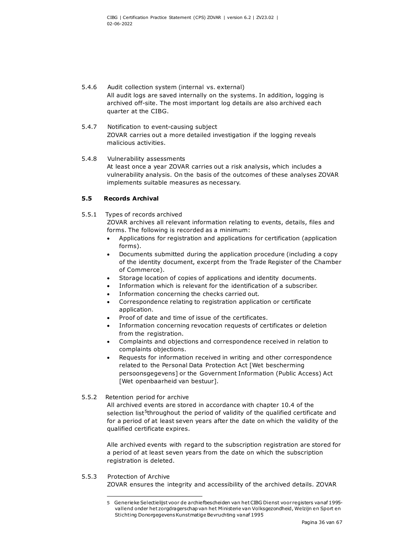- 5.4.6 Audit collection system (internal vs. external) All audit logs are saved internally on the systems. In addition, logging is archived off-site. The most important log details are also archived each quarter at the CIBG.
- 5.4.7 Notification to event-causing subject ZOVAR carries out a more detailed investigation if the logging reveals malicious activities.

#### 5.4.8 Vulnerability assessments

At least once a year ZOVAR carries out a risk analysis, which includes a vulnerability analysis. On the basis of the outcomes of these analyses ZOVAR implements suitable measures as necessary.

## **5.5 Records Archival**

5.5.1 Types of records archived

ZOVAR archives all relevant information relating to events, details, files and forms. The following is recorded as a minimum:

- Applications for registration and applications for certification (application forms).
- Documents submitted during the application procedure (including a copy of the identity document, excerpt from the Trade Register of the Chamber of Commerce).
- Storage location of copies of applications and identity documents.
- Information which is relevant for the identification of a subscriber.
- Information concerning the checks carried out.
- Correspondence relating to registration application or certificate application.
- Proof of date and time of issue of the certificates.
- Information concerning revocation requests of certificates or deletion from the registration.
- Complaints and objections and correspondence received in relation to complaints objections.
- Requests for information received in writing and other correspondence related to the Personal Data Protection Act [Wet bescherming persoonsgegevens] or the Government Information (Public Access) Act [Wet openbaarheid van bestuur].

#### 5.5.2 Retention period for archive

All archived events are stored in accordance with chapter 10.4 of the selection list<sup>[5](#page-36-0)</sup>throughout the period of validity of the qualified certificate and for a period of at least seven years after the date on which the validity of the qualified certificate expires.

Alle archived events with regard to the subscription registration are stored for a period of at least seven years from the date on which the subscription registration is deleted.

#### <span id="page-36-0"></span>5.5.3 Protection of Archive ZOVAR ensures the integrity and accessibility of the archived details. ZOVAR

<sup>5</sup> Generieke Selectielijst voor de archiefbescheiden van het CIBG Dienst voor registers vanaf 1995 vallend onder het zorgdragerschap van het Ministerie van Volksgezondheid, Welzijn en Sport en Stichting Donorgegevens Kunstmatige Bevruchting vanaf 1995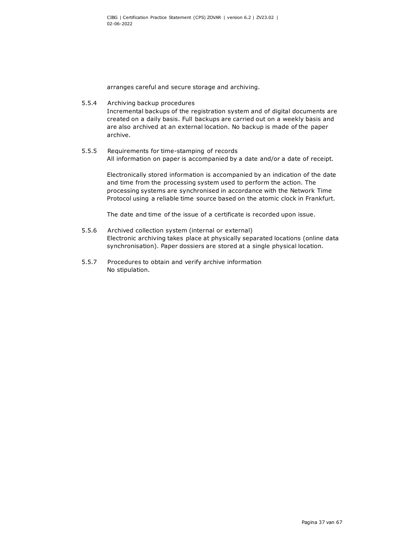arranges careful and secure storage and archiving.

- 5.5.4 Archiving backup procedures Incremental backups of the registration system and of digital documents are created on a daily basis. Full backups are carried out on a weekly basis and are also archived at an external location. No backup is made of the paper archive.
- 5.5.5 Requirements for time-stamping of records All information on paper is accompanied by a date and/or a date of receipt.

Electronically stored information is accompanied by an indication of the date and time from the processing system used to perform the action. The processing systems are synchronised in accordance with the Network Time Protocol using a reliable time source based on the atomic clock in Frankfurt.

The date and time of the issue of a certificate is recorded upon issue.

- 5.5.6 Archived collection system (internal or external) Electronic archiving takes place at physically separated locations (online data synchronisation). Paper dossiers are stored at a single physical location.
- 5.5.7 Procedures to obtain and verify archive information No stipulation.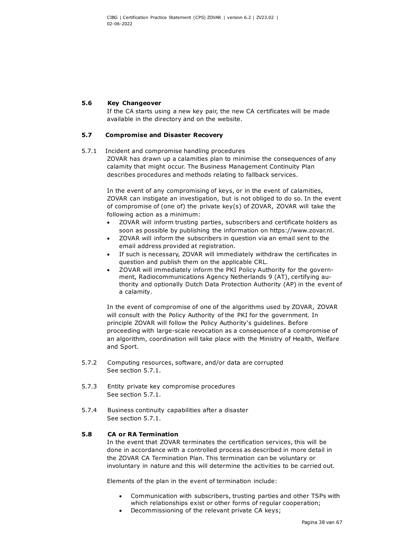### **5.6 Key Changeover**

If the CA starts using a new key pair, the new CA certificates will be made available in the directory and on the website.

## **5.7 Compromise and Disaster Recovery**

#### 5.7.1 Incident and compromise handling procedures

<span id="page-38-0"></span>ZOVAR has drawn up a calamities plan to minimise the consequences of any calamity that might occur. The Business Management Continuity Plan describes procedures and methods relating to fallback services.

In the event of any compromising of keys, or in the event of calamities, ZOVAR can instigate an investigation, but is not obliged to do so. In the event of compromise of (one of) the private key(s) of ZOVAR, ZOVAR will take the following action as a minimum:

- ZOVAR will inform trusting parties, subscribers and certificate holders as soon as possible by publishing the information on [https://www.zovar.nl.](https://www.zovar.nl/)
- ZOVAR will inform the subscribers in question via an email sent to the email address provided at registration.
- If such is necessary, ZOVAR will immediately withdraw the certificates in question and publish them on the applicable CRL.
- ZOVAR will immediately inform the PKI Policy Authority for the government, Radiocommunications Agency Netherlands 9 (AT), certifying authority and optionally Dutch Data Protection Authority (AP) in the event of a calamity.

In the event of compromise of one of the algorithms used by ZOVAR, ZOVAR will consult with the Policy Authority of the PKI for the government. In principle ZOVAR will follow the Policy Authority's guidelines. Before proceeding with large-scale revocation as a consequence of a compromise of an algorithm, coordination will take place with the Ministry of Health, Welfare and Sport.

- 5.7.2 Computing resources, software, and/or data are corrupted See section [5.7.1.](#page-38-0)
- 5.7.3 Entity private key compromise procedures See section [5.7.1.](#page-38-0)
- 5.7.4 Business continuity capabilities after a disaster See section [5.7.1.](#page-38-0)

#### **5.8 CA or RA Termination**

In the event that ZOVAR terminates the certification services, this will be done in accordance with a controlled process as described in more detail in the ZOVAR CA Termination Plan. This termination can be voluntary or involuntary in nature and this will determine the activities to be carried out.

Elements of the plan in the event of termination include:

- Communication with subscribers, trusting parties and other TSPs with which relationships exist or other forms of regular cooperation;
- Decommissioning of the relevant private CA keys;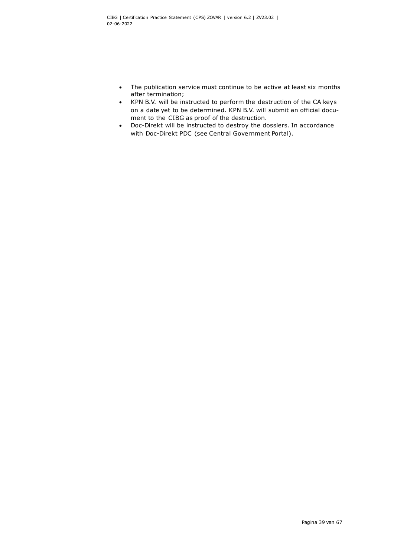- The publication service must continue to be active at least six months after termination;
- KPN B.V. will be instructed to perform the destruction of the CA keys on a date yet to be determined. KPN B.V. will submit an official document to the CIBG as proof of the destruction.
- Doc-Direkt will be instructed to destroy the dossiers. In accordance with Doc-Direkt PDC (see Central Government Portal).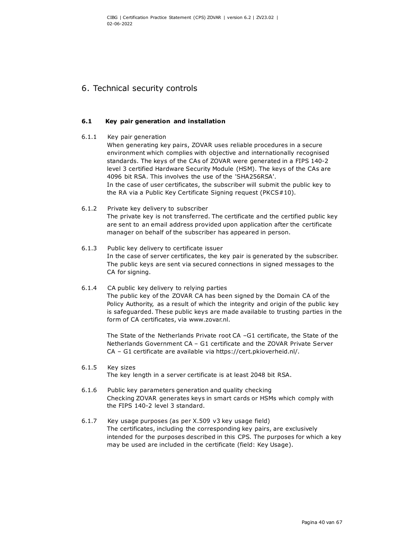## 6. Technical security controls

## **6.1 Key pair generation and installation**

- 6.1.1 Key pair generation When generating key pairs, ZOVAR uses reliable procedures in a secure environment which complies with objective and internationally recognised standards. The keys of the CAs of ZOVAR were generated in a FIPS 140-2 level 3 certified Hardware Security Module (HSM). The keys of the CAs are 4096 bit RSA. This involves the use of the 'SHA256RSA'. In the case of user certificates, the subscriber will submit the public key to the RA via a Public Key Certificate Signing request (PKCS#10).
- 6.1.2 Private key delivery to subscriber The private key is not transferred. The certificate and the certified public key are sent to an email address provided upon application after the certificate manager on behalf of the subscriber has appeared in person.
- 6.1.3 Public key delivery to certificate issuer In the case of server certificates, the key pair is generated by the subscriber. The public keys are sent via secured connections in signed messages to the CA for signing.
- 6.1.4 CA public key delivery to relying parties The public key of the ZOVAR CA has been signed by the Domain CA of the Policy Authority, as a result of which the integrity and origin of the public key is safeguarded. These public keys are made available to trusting parties in the form of CA certificates, via www.zovar.nl.

The State of the Netherlands Private root CA –G1 certificate, the State of the Netherlands Government CA – G1 certificate and the ZOVAR Private Server CA – G1 certificate are available via [https://cert.pkioverheid.nl/.](https://cert.pkioverheid.nl/)

- 6.1.5 Key sizes The key length in a server certificate is at least 2048 bit RSA.
- 6.1.6 Public key parameters generation and quality checking Checking ZOVAR generates keys in smart cards or HSMs which comply with the FIPS 140-2 level 3 standard.
- 6.1.7 Key usage purposes (as per X.509 v3 key usage field) The certificates, including the corresponding key pairs, are exclusively intended for the purposes described in this CPS. The purposes for which a key may be used are included in the certificate (field: Key Usage).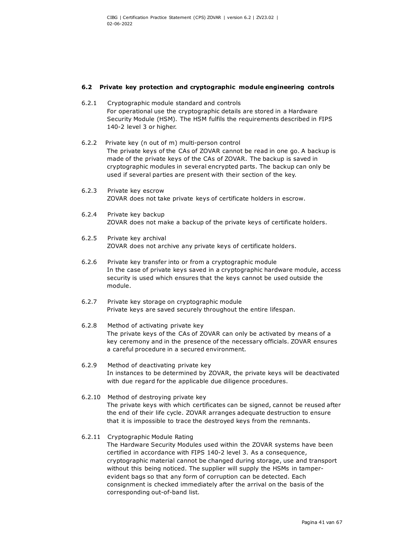#### **6.2 Private key protection and cryptographic module engineering controls**

- 6.2.1 Cryptographic module standard and controls For operational use the cryptographic details are stored in a Hardware Security Module (HSM). The HSM fulfils the requirements described in FIPS 140-2 level 3 or higher.
- 6.2.2 Private key (n out of m) multi-person control The private keys of the CAs of ZOVAR cannot be read in one go. A backup is made of the private keys of the CAs of ZOVAR. The backup is saved in cryptographic modules in several encrypted parts. The backup can only be used if several parties are present with their section of the key.
- 6.2.3 Private key escrow ZOVAR does not take private keys of certificate holders in escrow.
- 6.2.4 Private key backup ZOVAR does not make a backup of the private keys of certificate holders.
- 6.2.5 Private key archival ZOVAR does not archive any private keys of certificate holders.
- 6.2.6 Private key transfer into or from a cryptographic module In the case of private keys saved in a cryptographic hardware module, access security is used which ensures that the keys cannot be used outside the module.
- 6.2.7 Private key storage on cryptographic module Private keys are saved securely throughout the entire lifespan.
- 6.2.8 Method of activating private key The private keys of the CAs of ZOVAR can only be activated by means of a key ceremony and in the presence of the necessary officials. ZOVAR ensures a careful procedure in a secured environment.
- 6.2.9 Method of deactivating private key In instances to be determined by ZOVAR, the private keys will be deactivated with due regard for the applicable due diligence procedures.
- 6.2.10 Method of destroying private key The private keys with which certificates can be signed, cannot be reused after the end of their life cycle. ZOVAR arranges adequate destruction to ensure that it is impossible to trace the destroyed keys from the remnants.
- 6.2.11 Cryptographic Module Rating

The Hardware Security Modules used within the ZOVAR systems have been certified in accordance with FIPS 140-2 level 3. As a consequence, cryptographic material cannot be changed during storage, use and transport without this being noticed. The supplier will supply the HSMs in tamperevident bags so that any form of corruption can be detected. Each consignment is checked immediately after the arrival on the basis of the corresponding out-of-band list.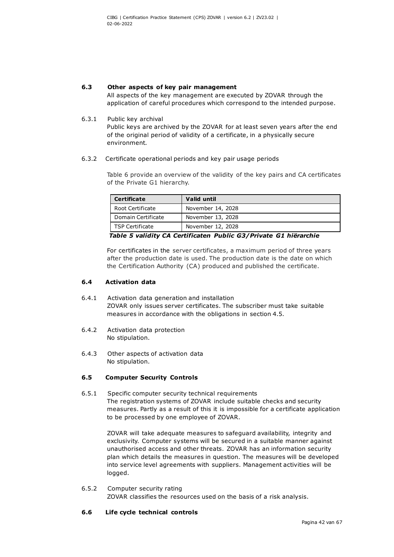#### **6.3 Other aspects of key pair management**

All aspects of the key management are executed by ZOVAR through the application of careful procedures which correspond to the intended purpose.

#### 6.3.1 Public key archival

Public keys are archived by the ZOVAR for at least seven years after the end of the original period of validity of a certificate, in a physically secure environment.

6.3.2 Certificate operational periods and key pair usage periods

Table 6 provide an overview of the validity of the key pairs and CA certificates of the Private G1 hierarchy.

| Valid until       |
|-------------------|
| November 14, 2028 |
| November 13, 2028 |
| November 12, 2028 |
|                   |

<span id="page-42-0"></span>*Table 5 validity CA Certificaten Public G3/Private G1 hiërarchie*

For certificates in the server certificates, a maximum period of three years after the production date is used. The production date is the date on which the Certification Authority (CA) produced and published the certificate.

### **6.4 Activation data**

- 6.4.1 Activation data generation and installation ZOVAR only issues server certificates. The subscriber must take suitable measures in accordance with the obligations in section 4.5.
- 6.4.2 Activation data protection No stipulation.
- 6.4.3 Other aspects of activation data No stipulation.

## **6.5 Computer Security Controls**

6.5.1 Specific computer security technical requirements The registration systems of ZOVAR include suitable checks and security measures. Partly as a result of this it is impossible for a certificate application to be processed by one employee of ZOVAR.

ZOVAR will take adequate measures to safeguard availability, integrity and exclusivity. Computer systems will be secured in a suitable manner against unauthorised access and other threats. ZOVAR has an information security plan which details the measures in question. The measures will be developed into service level agreements with suppliers. Management activities will be logged.

6.5.2 Computer security rating ZOVAR classifies the resources used on the basis of a risk analysis.

#### **6.6 Life cycle technical controls**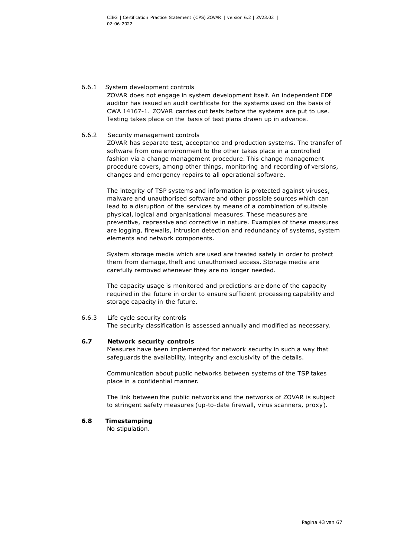#### 6.6.1 System development controls

ZOVAR does not engage in system development itself. An independent EDP auditor has issued an audit certificate for the systems used on the basis of CWA 14167-1. ZOVAR carries out tests before the systems are put to use. Testing takes place on the basis of test plans drawn up in advance.

#### 6.6.2 Security management controls

ZOVAR has separate test, acceptance and production systems. The transfer of software from one environment to the other takes place in a controlled fashion via a change management procedure. This change management procedure covers, among other things, monitoring and recording of versions, changes and emergency repairs to all operational software.

The integrity of TSP systems and information is protected against viruses, malware and unauthorised software and other possible sources which can lead to a disruption of the services by means of a combination of suitable physical, logical and organisational measures. These measures are preventive, repressive and corrective in nature. Examples of these measures are logging, firewalls, intrusion detection and redundancy of systems, system elements and network components.

System storage media which are used are treated safely in order to protect them from damage, theft and unauthorised access. Storage media are carefully removed whenever they are no longer needed.

The capacity usage is monitored and predictions are done of the capacity required in the future in order to ensure sufficient processing capability and storage capacity in the future.

#### 6.6.3 Life cycle security controls

The security classification is assessed annually and modified as necessary.

#### **6.7 Network security controls**

Measures have been implemented for network security in such a way that safeguards the availability, integrity and exclusivity of the details.

Communication about public networks between systems of the TSP takes place in a confidential manner.

The link between the public networks and the networks of ZOVAR is subject to stringent safety measures (up-to-date firewall, virus scanners, proxy).

#### **6.8 Timestamping**

No stipulation.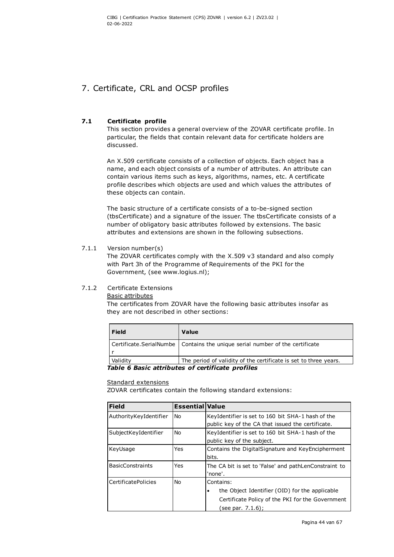## 7. Certificate, CRL and OCSP profiles

## **7.1 Certificate profile**

This section provides a general overview of the ZOVAR certificate profile. In particular, the fields that contain relevant data for certificate holders are discussed.

An X.509 certificate consists of a collection of objects. Each object has a name, and each object consists of a number of attributes. An attribute can contain various items such as keys, algorithms, names, etc. A certificate profile describes which objects are used and which values the attributes of these objects can contain.

The basic structure of a certificate consists of a to-be-signed section (tbsCertificate) and a signature of the issuer. The tbsCertificate consists of a number of obligatory basic attributes followed by extensions. The basic attributes and extensions are shown in the following subsections.

## 7.1.1 Version number(s)

The ZOVAR certificates comply with the X.509 v3 standard and also comply with Part 3h of the Programme of Requirements of the PKI for the Government, (see www.logius.nl);

## 7.1.2 Certificate Extensions

<span id="page-44-1"></span>Basic attributes

The certificates from ZOVAR have the following basic attributes insofar as they are not described in other sections:

| Field                                            | Value                                                                          |  |
|--------------------------------------------------|--------------------------------------------------------------------------------|--|
|                                                  | Certificate.SerialNumbe   Contains the unique serial number of the certificate |  |
| Validity                                         | The period of validity of the certificate is set to three years.               |  |
| Table 6 Basic attributes of certificate profiles |                                                                                |  |

#### <span id="page-44-0"></span>Standard extensions

ZOVAR certificates contain the following standard extensions:

| <b>Field</b>            | <b>Essential Value</b> |                                                       |  |
|-------------------------|------------------------|-------------------------------------------------------|--|
| AuthorityKeyIdentifier  | No                     | KeyIdentifier is set to 160 bit SHA-1 hash of the     |  |
|                         |                        | public key of the CA that issued the certificate.     |  |
| SubjectKeyIdentifier    | <b>No</b>              | KeyIdentifier is set to 160 bit SHA-1 hash of the     |  |
|                         |                        | public key of the subject.                            |  |
| KeyUsage                | Yes                    | Contains the DigitalSignature and KeyEncipherment     |  |
|                         |                        | bits.                                                 |  |
| <b>BasicConstraints</b> | Yes                    | The CA bit is set to 'False' and pathLenConstraint to |  |
|                         |                        | 'none'.                                               |  |
| CertificatePolicies     | No.                    | Contains:                                             |  |
|                         |                        | the Object Identifier (OID) for the applicable        |  |
|                         |                        | Certificate Policy of the PKI for the Government      |  |
|                         |                        | see par. 7.1.6);                                      |  |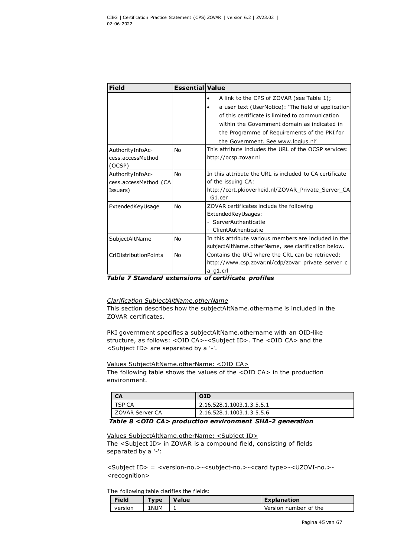| <b>Field</b>                                          | <b>Essential Value</b> |                                                                                                                                                                                                                                                                                           |
|-------------------------------------------------------|------------------------|-------------------------------------------------------------------------------------------------------------------------------------------------------------------------------------------------------------------------------------------------------------------------------------------|
|                                                       |                        | A link to the CPS of ZOVAR (see Table 1);<br>a user text (UserNotice): 'The field of application<br>of this certificate is limited to communication<br>within the Government domain as indicated in<br>the Programme of Requirements of the PKI for<br>the Government. See www.logius.nl' |
| AuthorityInfoAc-<br>cess.accessMethod<br>(OCSP)       | No                     | This attribute includes the URL of the OCSP services:<br>http://ocsp.zovar.nl                                                                                                                                                                                                             |
| AuthorityInfoAc-<br>cess.accessMethod (CA<br>Issuers) | No                     | In this attribute the URL is included to CA certificate<br>of the issuing CA:<br>http://cert.pkioverheid.nl/ZOVAR Private Server CA<br>G1.cer                                                                                                                                             |
| ExtendedKeyUsage                                      | No                     | ZOVAR certificates include the following<br>ExtendedKeyUsages:<br>- ServerAuthenticatie<br>- ClientAuthenticatie                                                                                                                                                                          |
| SubjectAltName                                        | No                     | In this attribute various members are included in the<br>subjectAltName.otherName, see clarification below.                                                                                                                                                                               |
| CrlDistributionPoints                                 | No                     | Contains the URI where the CRL can be retrieved:<br>http://www.csp.zovar.nl/cdp/zovar_private_server_c<br>a_g1.crl                                                                                                                                                                        |

#### <span id="page-45-0"></span>*Table 7 Standard extensions of certificate profiles*

#### *Clarification SubjectAltName.otherName*

This section describes how the subjectAltName.othername is included in the ZOVAR certificates.

PKI government specifies a subjectAltName.othername with an OID-like structure, as follows: <OID CA>-<Subject ID>. The <OID CA> and the <Subject ID> are separated by a '-'.

#### Values SubjectAltName.otherName: <OID CA>

The following table shows the values of the <OID CA> in the production environment.

| <b>CA</b>        | <b>OID</b>                |
|------------------|---------------------------|
| TSP CA           | 2.16.528.1.1003.1.3.5.5.1 |
| LZOVAR Server CA | 2.16.528.1.1003.1.3.5.5.6 |

#### <span id="page-45-1"></span>*Table 8 <OID CA> production environment SHA-2 generation*

#### Values SubjectAltName.otherName: <Subject ID>

The <Subject ID> in ZOVAR is a compound field, consisting of fields separated by a '-':

<Subject ID> = <version-no.>-<subject-no.>-<card type>-<UZOVI-no.>- <recognition>

The following table clarifies the fields:

| <b>Field</b> | Type | Value | <b>Explanation</b>    |
|--------------|------|-------|-----------------------|
| version      | 1NUM |       | Version number of the |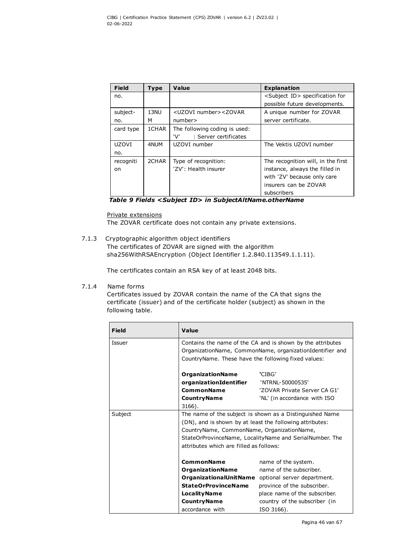| <b>Field</b> | Type  | Value                                                                              | <b>Explanation</b>                          |
|--------------|-------|------------------------------------------------------------------------------------|---------------------------------------------|
| no.          |       |                                                                                    | <subject id=""> specification for</subject> |
|              |       |                                                                                    | possible future developments.               |
| subject-     | 13NU  | <uzovi number=""><zovar< td=""><td>A unique number for ZOVAR</td></zovar<></uzovi> | A unique number for ZOVAR                   |
| no.          | м     | number>                                                                            | server certificate.                         |
| card type    | 1CHAR | The following coding is used:                                                      |                                             |
|              |       | 'V'<br>: Server certificates                                                       |                                             |
| <b>UZOVI</b> | 4NUM  | UZOVI number                                                                       | The Vektis UZOVI number                     |
| no.          |       |                                                                                    |                                             |
| recogniti    | 2CHAR | Type of recognition:                                                               | The recognition will, in the first          |
| on.          |       | 'ZV': Health insurer                                                               | instance, always the filled in              |
|              |       |                                                                                    | with 'ZV' because only care                 |
|              |       |                                                                                    | insurers can be ZOVAR                       |
|              |       |                                                                                    | subscribers                                 |

<span id="page-46-0"></span>*Table 9 Fields <Subject ID> in SubjectAltName.otherName* 

#### Private extensions

The ZOVAR certificate does not contain any private extensions.

7.1.3 Cryptographic algorithm object identifiers The certificates of ZOVAR are signed with the algorithm

sha256WithRSAEncryption (Object Identifier 1.2.840.113549.1.1.11).

The certificates contain an RSA key of at least 2048 bits.

## 7.1.4 Name forms

Certificates issued by ZOVAR contain the name of the CA that signs the certificate (issuer) and of the certificate holder (subject) as shown in the following table.

| <b>Field</b> | Value                                                                                                                                                                                                                                                                    |                                                                                                                                                                                                                     |
|--------------|--------------------------------------------------------------------------------------------------------------------------------------------------------------------------------------------------------------------------------------------------------------------------|---------------------------------------------------------------------------------------------------------------------------------------------------------------------------------------------------------------------|
| Issuer       | Contains the name of the CA and is shown by the attributes<br>OrganizationName, CommonName, organizationIdentifier and<br>Country Name. These have the following fixed values:                                                                                           |                                                                                                                                                                                                                     |
|              | <b>OrganizationName</b><br>organizationIdentifier<br><b>CommonName</b><br><b>Country Name</b><br>3166).                                                                                                                                                                  | 'CIBG'<br>'NTRNL-50000535'<br>'ZOVAR Private Server CA G1'<br>'NL' (in accordance with ISO                                                                                                                          |
| Subject      | The name of the subject is shown as a Distinguished Name<br>(DN), and is shown by at least the following attributes:<br>CountryName, CommonName, OrganizationName,<br>StateOrProvinceName, LocalityName and SerialNumber. The<br>attributes which are filled as follows: |                                                                                                                                                                                                                     |
|              | <b>CommonName</b><br><b>OrganizationName</b><br><b>StateOrProvinceName</b><br><b>Locality Name</b><br><b>Country Name</b><br>accordance with                                                                                                                             | name of the system.<br>name of the subscriber.<br>OrganizationalUnitName optional server department.<br>province of the subscriber.<br>place name of the subscriber.<br>country of the subscriber (in<br>ISO 3166). |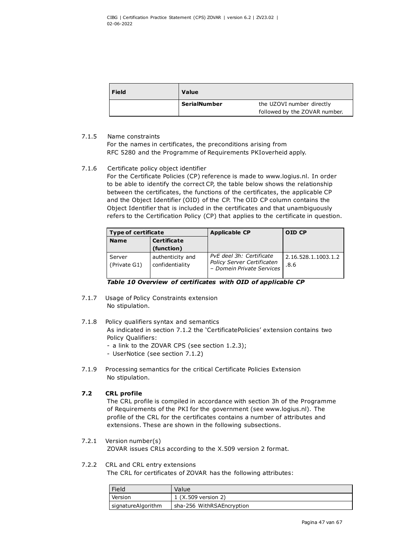| <b>Field</b> | <b>Value</b>        |                               |
|--------------|---------------------|-------------------------------|
|              | <b>SerialNumber</b> | the UZOVI number directly     |
|              |                     | followed by the ZOVAR number. |

## 7.1.5 Name constraints

<span id="page-47-1"></span>For the names in certificates, the preconditions arising from RFC 5280 and the Programme of Requirements PKIoverheid apply.

#### 7.1.6 Certificate policy object identifier

For the Certificate Policies (CP) reference is made to www.logius.nl. In order to be able to identify the correct CP, the table below shows the relationship between the certificates, the functions of the certificates, the applicable CP and the Object Identifier (OID) of the CP. The OID CP column contains the Object Identifier that is included in the certificates and that unambiguously refers to the Certification Policy (CP) that applies to the certificate in question.

| <b>Type of certificate</b> |                                     | <b>Applicable CP</b>                                                                       | OID CP                      |
|----------------------------|-------------------------------------|--------------------------------------------------------------------------------------------|-----------------------------|
| <b>Name</b>                | <b>Certificate</b>                  |                                                                                            |                             |
|                            | (function)                          |                                                                                            |                             |
| Server<br>(Private G1)     | authenticity and<br>confidentiality | PvE deel 3h: Certificate<br><b>Policy Server Certificaten</b><br>- Domein Private Services | 2.16.528.1.1003.1.2<br>.8.6 |

<span id="page-47-0"></span>

| Table 10 Overview of certificates with OID of applicable CP |  |  |
|-------------------------------------------------------------|--|--|
|-------------------------------------------------------------|--|--|

- 7.1.7 Usage of Policy Constraints extension No stipulation.
- 7.1.8 Policy qualifiers syntax and semantics As indicated in section [7.1.2](#page-44-1) the 'CertificatePolicies' extension contains two Policy Qualifiers:
	- a link to the ZOVAR CPS (see section [1.2.3\)](#page-11-0);
	- UserNotice (see section [7.1.2\)](#page-44-1)
- 7.1.9 Processing semantics for the critical Certificate Policies Extension No stipulation.

## **7.2 CRL profile**

The CRL profile is compiled in accordance with section 3h of the Programme of Requirements of the PKI for the government (see www.logius.nl). The profile of the CRL for the certificates contains a number of attributes and extensions. These are shown in the following subsections.

#### 7.2.1 Version number(s) ZOVAR issues CRLs according to the X.509 version 2 format.

# 7.2.2 CRL and CRL entry extensions

The CRL for certificates of ZOVAR has the following attributes:

| Field              | Value                     |  |
|--------------------|---------------------------|--|
| Version            | 1 (X.509 version 2)       |  |
| signatureAlgorithm | sha-256 WithRSAEncryption |  |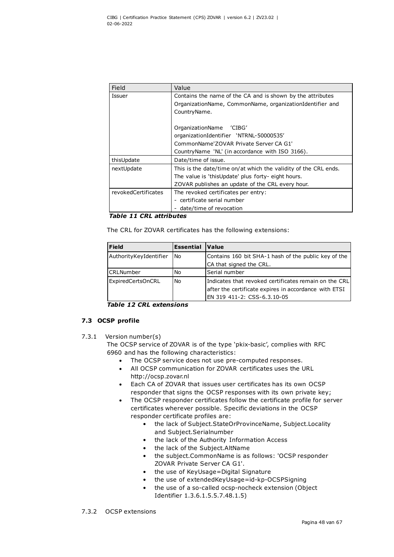| Field               | Value                                                           |
|---------------------|-----------------------------------------------------------------|
| Issuer              | Contains the name of the CA and is shown by the attributes      |
|                     | OrganizationName, CommonName, organizationIdentifier and        |
|                     | CountryName.                                                    |
|                     | OrganizationName 'CIBG'                                         |
|                     | organizationIdentifier 'NTRNL-50000535'                         |
|                     | CommonName'ZOVAR Private Server CA G1'                          |
|                     | Country Name 'NL' (in accordance with ISO 3166).                |
| thisUpdate          | Date/time of issue.                                             |
| nextUpdate          | This is the date/time on/at which the validity of the CRL ends. |
|                     | The value is 'thisUpdate' plus forty- eight hours.              |
|                     | ZOVAR publishes an update of the CRL every hour.                |
| revokedCertificates | The revoked certificates per entry:                             |
|                     | - certificate serial number                                     |
|                     | date/time of revocation                                         |

#### <span id="page-48-0"></span>*Table 11 CRL attributes*

The CRL for ZOVAR certificates has the following extensions:

| <b>Field</b>           | <b>Essential</b> | Value                                                                                                                                         |
|------------------------|------------------|-----------------------------------------------------------------------------------------------------------------------------------------------|
| AuthorityKeyIdentifier | No               | Contains 160 bit SHA-1 hash of the public key of the<br>CA that signed the CRL.                                                               |
| <b>CRLNumber</b>       | No               | Serial number                                                                                                                                 |
| ExpiredCertsOnCRL      | No               | Indicates that revoked certificates remain on the CRL<br>after the certificate expires in accordance with ETSI<br>EN 319 411-2: CSS-6.3.10-05 |

<span id="page-48-1"></span>*Table 12 CRL extensions*

## **7.3 OCSP profile**

7.3.1 Version number(s)

The OCSP service of ZOVAR is of the type 'pkix-basic', complies with RFC 6960 and has the following characteristics:

- The OCSP service does not use pre-computed responses.
- All OCSP communication for ZOVAR certificates uses the URL http://ocsp.zovar.nl
- Each CA of ZOVAR that issues user certificates has its own OCSP responder that signs the OCSP responses with its own private key;
- The OCSP responder certificates follow the certificate profile for server certificates wherever possible. Specific deviations in the OCSP responder certificate profiles are:
	- the lack of Subject.StateOrProvinceName, Subject.Locality and Subject.Serialnumber
	- the lack of the Authority Information Access
	- the lack of the Subject.AltName
	- the subject.CommonName is as follows: 'OCSP responder ZOVAR Private Server CA G1'.
	- the use of KeyUsage=Digital Signature
	- the use of extendedKeyUsage=id-kp-OCSPSigning
	- the use of a so-called ocsp-nocheck extension (Object Identifier 1.3.6.1.5.5.7.48.1.5)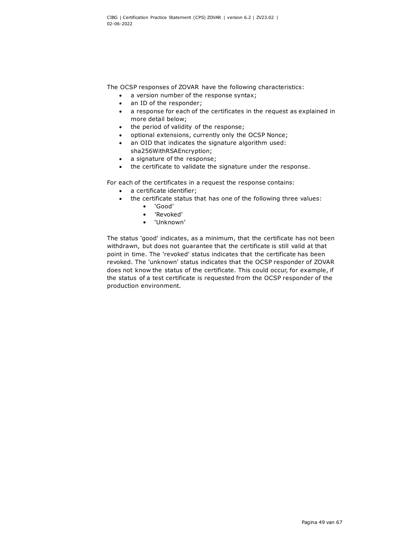The OCSP responses of ZOVAR have the following characteristics:

- a version number of the response syntax;
- an ID of the responder;
- a response for each of the certificates in the request as explained in more detail below;
- the period of validity of the response;
- optional extensions, currently only the OCSP Nonce;
- an OID that indicates the signature algorithm used:
- sha256WithRSAEncryption;
- a signature of the response;
- the certificate to validate the signature under the response.

For each of the certificates in a request the response contains:

- a certificate identifier;
- the certificate status that has one of the following three values:
	- 'Good'
	- 'Revoked'
	- 'Unknown'

The status 'good' indicates, as a minimum, that the certificate has not been withdrawn, but does not guarantee that the certificate is still valid at that point in time. The 'revoked' status indicates that the certificate has been revoked. The 'unknown' status indicates that the OCSP responder of ZOVAR does not know the status of the certificate. This could occur, for example, if the status of a test certificate is requested from the OCSP responder of the production environment.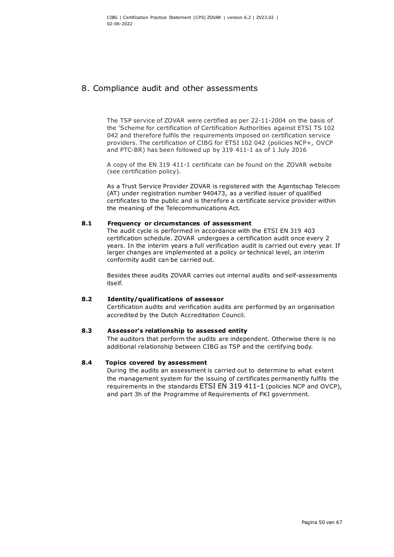## 8. Compliance audit and other assessments

The TSP service of ZOVAR were certified as per 22-11-2004 on the basis of the 'Scheme for certification of Certification Authorities against ETSI TS 102 042 and therefore fulfils the requirements imposed on certification service providers. The certification of CIBG for ETSI 102 042 (policies NCP+, OVCP and PTC-BR) has been followed up by 319 411-1 as of 1 July 2016

A copy of the EN 319 411-1 certificate can be found on the ZOVAR website (see certification policy).

As a Trust Service Provider ZOVAR is registered with the Agentschap Telecom (AT) under registration number 940473, as a verified issuer of qualified certificates to the public and is therefore a certificate service provider within the meaning of the Telecommunications Act.

#### **8.1 Frequency or circumstances of assessment**

The audit cycle is performed in accordance with the ETSI EN 319 403 certification schedule. ZOVAR undergoes a certification audit once every 2 years. In the interim years a full verification audit is carried out every year. If larger changes are implemented at a policy or technical level, an interim conformity audit can be carried out.

Besides these audits ZOVAR carries out internal audits and self-assessments itself.

#### **8.2 Identity/qualifications of assessor**

Certification audits and verification audits are performed by an organisation accredited by the Dutch Accreditation Council.

#### **8.3 Assessor's relationship to assessed entity**

The auditors that perform the audits are independent. Otherwise there is no additional relationship between CIBG as TSP and the certifying body.

#### **8.4 Topics covered by assessment**

During the audits an assessment is carried out to determine to what extent the management system for the issuing of certificates permanently fulfils the requirements in the standards ETSI EN 319 411-1 (policies NCP and OVCP), and part 3h of the Programme of Requirements of PKI government.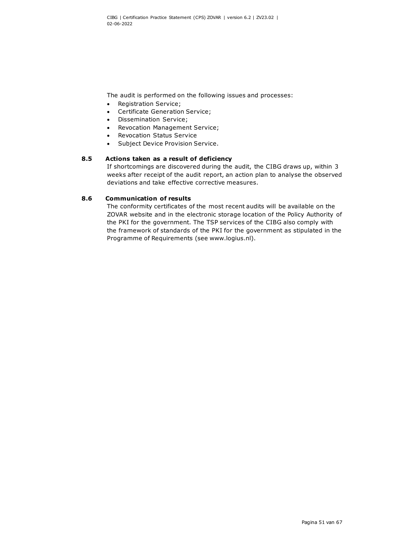The audit is performed on the following issues and processes:

- Registration Service;
- Certificate Generation Service;
- Dissemination Service;
- Revocation Management Service;
- Revocation Status Service
- Subject Device Provision Service.

## **8.5 Actions taken as a result of deficiency**

If shortcomings are discovered during the audit, the CIBG draws up, within 3 weeks after receipt of the audit report, an action plan to analyse the observed deviations and take effective corrective measures.

#### **8.6 Communication of results**

The conformity certificates of the most recent audits will be available on the ZOVAR website and in the electronic storage location of the Policy Authority of the PKI for the government. The TSP services of the CIBG also comply with the framework of standards of the PKI for the government as stipulated in the Programme of Requirements (see www.logius.nl).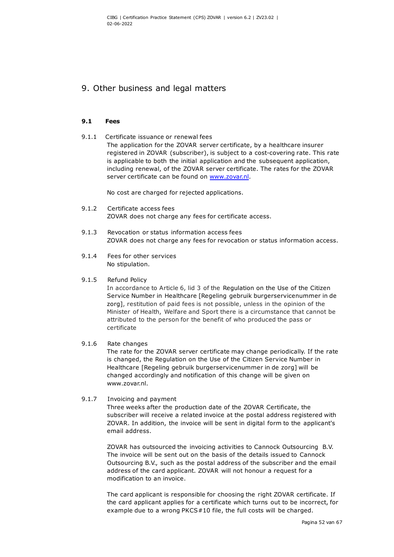## 9. Other business and legal matters

#### **9.1 Fees**

9.1.1 Certificate issuance or renewal fees The application for the ZOVAR server certificate, by a healthcare insurer registered in ZOVAR (subscriber), is subject to a cost-covering rate. This rate is applicable to both the initial application and the subsequent application, including renewal, of the ZOVAR server certificate. The rates for the ZOVAR server certificate can be found on [www.zovar.nl.](http://www.zovar.nl/)

No cost are charged for rejected applications.

- 9.1.2 Certificate access fees ZOVAR does not charge any fees for certificate access.
- 9.1.3 Revocation or status information access fees ZOVAR does not charge any fees for revocation or status information access.
- 9.1.4 Fees for other services No stipulation.

#### 9.1.5 Refund Policy

In accordance to Article 6, lid 3 of the Regulation on the Use of the Citizen Service Number in Healthcare [Regeling gebruik burgerservicenummer in de zorg], restitution of paid fees is not possible, unless in the opinion of the Minister of Health, Welfare and Sport there is a circumstance that cannot be attributed to the person for the benefit of who produced the pass or certificate

## 9.1.6 Rate changes

The rate for the ZOVAR server certificate may change periodically. If the rate is changed, the Regulation on the Use of the Citizen Service Number in Healthcare [Regeling gebruik burgerservicenummer in de zorg] will be changed accordingly and notification of this change will be given on www.zovar.nl.

#### 9.1.7 Invoicing and payment

Three weeks after the production date of the ZOVAR Certificate, the subscriber will receive a related invoice at the postal address registered with ZOVAR. In addition, the invoice will be sent in digital form to the applicant's email address.

ZOVAR has outsourced the invoicing activities to Cannock Outsourcing B.V. The invoice will be sent out on the basis of the details issued to Cannock Outsourcing B.V., such as the postal address of the subscriber and the email address of the card applicant. ZOVAR will not honour a request for a modification to an invoice.

The card applicant is responsible for choosing the right ZOVAR certificate. If the card applicant applies for a certificate which turns out to be incorrect, for example due to a wrong PKCS#10 file, the full costs will be charged.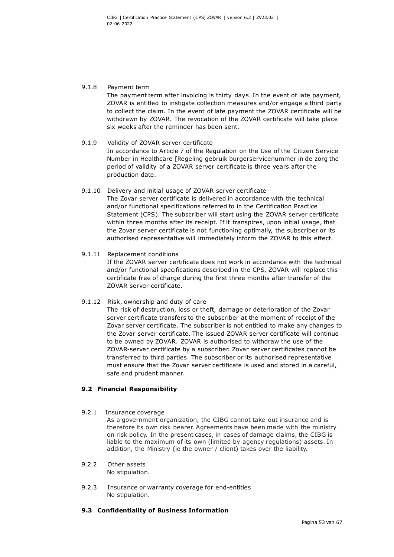#### 9.1.8 Payment term

The payment term after invoicing is thirty days. In the event of late payment, ZOVAR is entitled to instigate collection measures and/or engage a third party to collect the claim. In the event of late payment the ZOVAR certificate will be withdrawn by ZOVAR. The revocation of the ZOVAR certificate will take place six weeks after the reminder has been sent.

## 9.1.9 Validity of ZOVAR server certificate In accordance to Article 7 of the Regulation on the Use of the Citizen Service Number in Healthcare [Regeling gebruik burgerservicenummer in de zorg the period of validity of a ZOVAR server certificate is three years after the production date.

9.1.10 Delivery and initial usage of ZOVAR server certificate The Zovar server certificate is delivered in accordance with the technical and/or functional specifications referred to in the Certification Practice Statement (CPS). The subscriber will start using the ZOVAR server certificate within three months after its receipt. If it transpires, upon initial usage, that the Zovar server certificate is not functioning optimally, the subscriber or its authorised representative will immediately inform the ZOVAR to this effect.

#### 9.1.11 Replacement conditions

If the ZOVAR server certificate does not work in accordance with the technical and/or functional specifications described in the CPS, ZOVAR will replace this certificate free of charge during the first three months after transfer of the ZOVAR server certificate.

#### 9.1.12 Risk, ownership and duty of care

The risk of destruction, loss or theft, damage or deterioration of the Zovar server certificate transfers to the subscriber at the moment of receipt of the Zovar server certificate. The subscriber is not entitled to make any changes to the Zovar server certificate. The issued ZOVAR server certificate will continue to be owned by ZOVAR. ZOVAR is authorised to withdraw the use of the ZOVAR-server certificate by a subscriber. Zovar server certificates cannot be transferred to third parties. The subscriber or its authorised representative must ensure that the Zovar server certificate is used and stored in a careful, safe and prudent manner.

#### **9.2 Financial Responsibility**

#### 9.2.1 Insurance coverage

As a government organization, the CIBG cannot take out insurance and is therefore its own risk bearer. Agreements have been made with the ministry on risk policy. In the present cases, in cases of damage claims, the CIBG is liable to the maximum of its own (limited by agency regulations) assets. In addition, the Ministry (ie the owner / client) takes over the liability.

#### 9.2.2 Other assets No stipulation.

9.2.3 Insurance or warranty coverage for end-entities No stipulation.

## **9.3 Confidentiality of Business Information**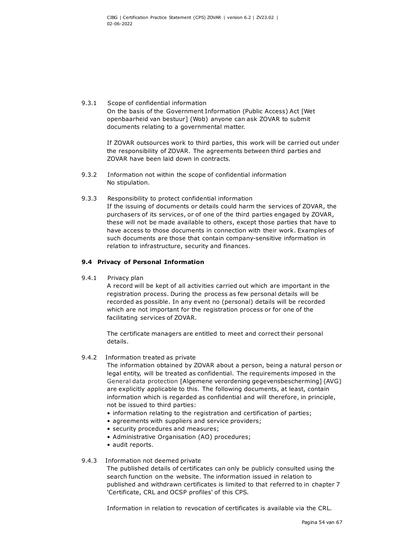#### 9.3.1 Scope of confidential information On the basis of the Government Information (Public Access) Act [Wet openbaarheid van bestuur] (Wob) anyone can ask ZOVAR to submit documents relating to a governmental matter.

If ZOVAR outsources work to third parties, this work will be carried out under the responsibility of ZOVAR. The agreements between third parties and ZOVAR have been laid down in contracts*.*

- 9.3.2 Information not within the scope of confidential information No stipulation.
- 9.3.3 Responsibility to protect confidential information If the issuing of documents or details could harm the services of ZOVAR, the purchasers of its services, or of one of the third parties engaged by ZOVAR, these will not be made available to others, except those parties that have to have access to those documents in connection with their work. Examples of such documents are those that contain company-sensitive information in relation to infrastructure, security and finances.

## **9.4 Privacy of Personal Information**

9.4.1 Privacy plan

A record will be kept of all activities carried out which are important in the registration process. During the process as few personal details will be recorded as possible. In any event no (personal) details will be recorded which are not important for the registration process or for one of the facilitating services of ZOVAR.

The certificate managers are entitled to meet and correct their personal details.

## 9.4.2 Information treated as private

The information obtained by ZOVAR about a person, being a natural person or legal entity, will be treated as confidential. The requirements imposed in the General data protection [Algemene verordening gegevensbescherming] (AVG) are explicitly applicable to this. The following documents, at least, contain information which is regarded as confidential and will therefore, in principle, not be issued to third parties:

- information relating to the registration and certification of parties;
- agreements with suppliers and service providers;
- security procedures and measures;
- Administrative Organisation (AO) procedures;
- audit reports.

#### 9.4.3 Information not deemed private

The published details of certificates can only be publicly consulted using the search function on the website. The information issued in relation to published and withdrawn certificates is limited to that referred to in chapter 7 'Certificate, CRL and OCSP profiles' of this CPS.

Information in relation to revocation of certificates is available via the CRL.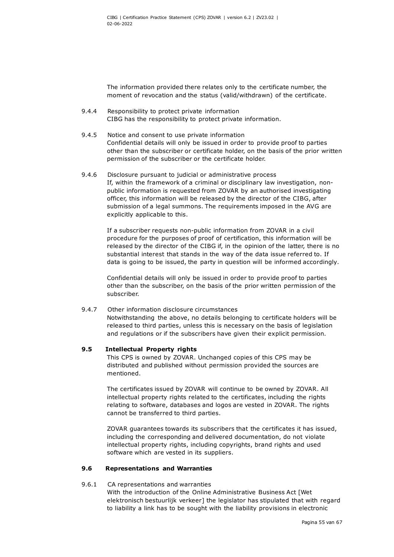The information provided there relates only to the certificate number, the moment of revocation and the status (valid/withdrawn) of the certificate.

- 9.4.4 Responsibility to protect private information CIBG has the responsibility to protect private information.
- 9.4.5 Notice and consent to use private information Confidential details will only be issued in order to provide proof to parties other than the subscriber or certificate holder, on the basis of the prior written permission of the subscriber or the certificate holder.
- 9.4.6 Disclosure pursuant to judicial or administrative process If, within the framework of a criminal or disciplinary law investigation, nonpublic information is requested from ZOVAR by an authorised investigating officer, this information will be released by the director of the CIBG, after submission of a legal summons. The requirements imposed in the AVG are explicitly applicable to this.

If a subscriber requests non-public information from ZOVAR in a civil procedure for the purposes of proof of certification, this information will be released by the director of the CIBG if, in the opinion of the latter, there is no substantial interest that stands in the way of the data issue referred to. If data is going to be issued, the party in question will be informed accordingly*.*

Confidential details will only be issued in order to provide proof to parties other than the subscriber, on the basis of the prior written permission of the subscriber.

#### 9.4.7 Other information disclosure circumstances

Notwithstanding the above, no details belonging to certificate holders will be released to third parties, unless this is necessary on the basis of legislation and regulations or if the subscribers have given their explicit permission.

#### **9.5 Intellectual Property rights**

This CPS is owned by ZOVAR. Unchanged copies of this CPS may be distributed and published without permission provided the sources are mentioned.

The certificates issued by ZOVAR will continue to be owned by ZOVAR. All intellectual property rights related to the certificates, including the rights relating to software, databases and logos are vested in ZOVAR. The rights cannot be transferred to third parties.

ZOVAR guarantees towards its subscribers that the certificates it has issued, including the corresponding and delivered documentation, do not violate intellectual property rights, including copyrights, brand rights and used software which are vested in its suppliers.

#### **9.6 Representations and Warranties**

#### 9.6.1 CA representations and warranties

With the introduction of the Online Administrative Business Act [Wet elektronisch bestuurlijk verkeer] the legislator has stipulated that with regard to liability a link has to be sought with the liability provisions in electronic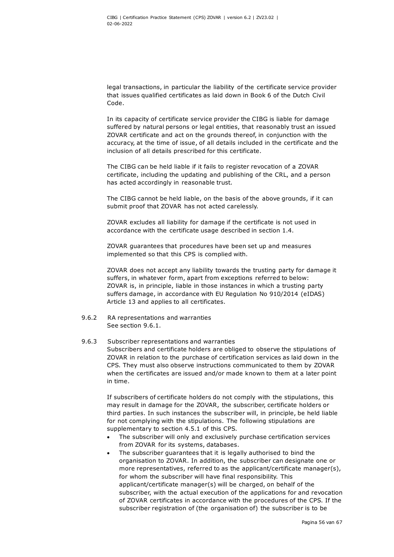legal transactions, in particular the liability of the certificate service provider that issues qualified certificates as laid down in Book 6 of the Dutch Civil Code.

In its capacity of certificate service provider the CIBG is liable for damage suffered by natural persons or legal entities, that reasonably trust an issued ZOVAR certificate and act on the grounds thereof, in conjunction with the accuracy, at the time of issue, of all details included in the certificate and the inclusion of all details prescribed for this certificate.

The CIBG can be held liable if it fails to register revocation of a ZOVAR certificate, including the updating and publishing of the CRL, and a person has acted accordingly in reasonable trust.

The CIBG cannot be held liable, on the basis of the above grounds, if it can submit proof that ZOVAR has not acted carelessly.

ZOVAR excludes all liability for damage if the certificate is not used in accordance with the certificate usage described in section 1.4.

ZOVAR guarantees that procedures have been set up and measures implemented so that this CPS is complied with.

ZOVAR does not accept any liability towards the trusting party for damage it suffers, in whatever form, apart from exceptions referred to below: ZOVAR is, in principle, liable in those instances in which a trusting party suffers damage, in accordance with EU Regulation No 910/2014 (eIDAS) Article 13 and applies to all certificates.

9.6.2 RA representations and warranties See section 9.6.1.

#### 9.6.3 Subscriber representations and warranties

Subscribers and certificate holders are obliged to observe the stipulations of ZOVAR in relation to the purchase of certification services as laid down in the CPS. They must also observe instructions communicated to them by ZOVAR when the certificates are issued and/or made known to them at a later point in time.

If subscribers of certificate holders do not comply with the stipulations, this may result in damage for the ZOVAR, the subscriber, certificate holders or third parties. In such instances the subscriber will, in principle, be held liable for not complying with the stipulations. The following stipulations are supplementary to section 4.5.1 of this CPS.

- The subscriber will only and exclusively purchase certification services from ZOVAR for its systems, databases.
- The subscriber guarantees that it is legally authorised to bind the organisation to ZOVAR. In addition, the subscriber can designate one or more representatives, referred to as the applicant/certificate manager(s), for whom the subscriber will have final responsibility. This applicant/certificate manager(s) will be charged, on behalf of the subscriber, with the actual execution of the applications for and revocation of ZOVAR certificates in accordance with the procedures of the CPS. If the subscriber registration of (the organisation of) the subscriber is to be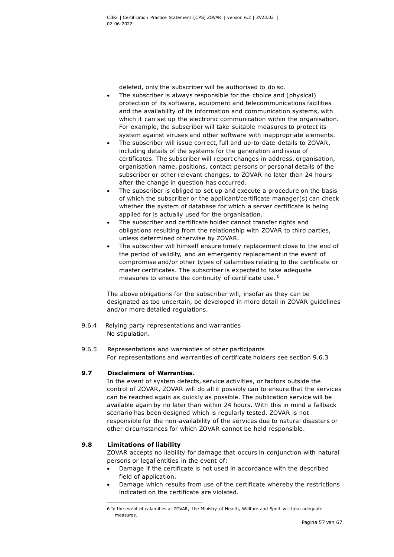deleted, only the subscriber will be authorised to do so.

- The subscriber is always responsible for the choice and (physical) protection of its software, equipment and telecommunications facilities and the availability of its information and communication systems, with which it can set up the electronic communication within the organisation. For example, the subscriber will take suitable measures to protect its system against viruses and other software with inappropriate elements.
- The subscriber will issue correct, full and up-to-date details to ZOVAR, including details of the systems for the generation and issue of certificates. The subscriber will report changes in address, organisation, organisation name, positions, contact persons or personal details of the subscriber or other relevant changes, to ZOVAR no later than 24 hours after the change in question has occurred.
- The subscriber is obliged to set up and execute a procedure on the basis of which the subscriber or the applicant/certificate manager(s) can check whether the system of database for which a server certificate is being applied for is actually used for the organisation.
- The subscriber and certificate holder cannot transfer rights and obligations resulting from the relationship with ZOVAR to third parties, unless determined otherwise by ZOVAR.
- The subscriber will himself ensure timely replacement close to the end of the period of validity, and an emergency replacement in the event of compromise and/or other types of calamities relating to the certificate or master certificates. The subscriber is expected to take adequate measures to ensure the continuity of certificate use. <sup>[6](#page-57-2)</sup>

<span id="page-57-1"></span>The above obligations for the subscriber will, insofar as they can be designated as too uncertain, be developed in more detail in ZOVAR guidelines and/or more detailed regulations.

- 9.6.4 Relying party representations and warranties No stipulation.
- 9.6.5 Representations and warranties of other participants For representations and warranties of certificate holders see section 9.6.3

#### **9.7 Disclaimers of Warranties.**

In the event of system defects, service activities, or factors outside the control of ZOVAR, ZOVAR will do all it possibly can to ensure that the services can be reached again as quickly as possible. The publication service will be available again by no later than within 24 hours. With this in mind a fallback scenario has been designed which is regularly tested. ZOVAR is not responsible for the non-availability of the services due to natural disasters or other circumstances for which ZOVAR cannot be held responsible.

### <span id="page-57-2"></span><span id="page-57-0"></span>**9.8 Limitations of liability**

ZOVAR accepts no liability for damage that occurs in conjunction with natural persons or legal entities in the event of:

- Damage if the certificate is not used in accordance with the described field of application.
- Damage which results from use of the certificate whereby the restrictions indicated on the certificate are violated.

<sup>6</sup> In the event of calamities at ZOVAR, the Ministry of Health, Welfare and Sport will take adequate measures.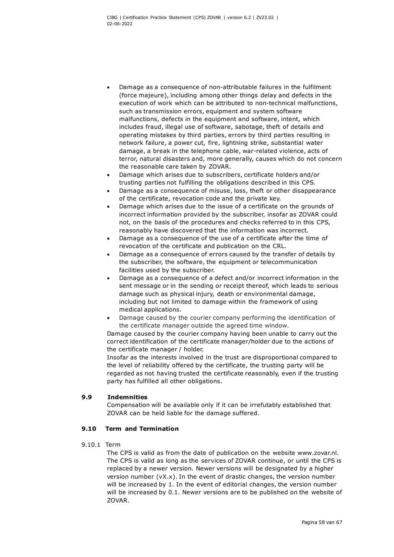- Damage as a consequence of non-attributable failures in the fulfilment (force majeure), including among other things delay and defects in the execution of work which can be attributed to non-technical malfunctions, such as transmission errors, equipment and system software malfunctions, defects in the equipment and software, intent, which includes fraud, illegal use of software, sabotage, theft of details and operating mistakes by third parties, errors by third parties resulting in network failure, a power cut, fire, lightning strike, substantial water damage, a break in the telephone cable, war-related violence, acts of terror, natural disasters and, more generally, causes which do not concern the reasonable care taken by ZOVAR.
- Damage which arises due to subscribers, certificate holders and/or trusting parties not fulfilling the obligations described in this CPS.
- Damage as a consequence of misuse, loss, theft or other disappearance of the certificate, revocation code and the private key.
- Damage which arises due to the issue of a certificate on the grounds of incorrect information provided by the subscriber, insofar as ZOVAR could not, on the basis of the procedures and checks referred to in this CPS, reasonably have discovered that the information was incorrect.
- Damage as a consequence of the use of a certificate after the time of revocation of the certificate and publication on the CRL.
- Damage as a consequence of errors caused by the transfer of details by the subscriber, the software, the equipment or telecommunication facilities used by the subscriber.
- Damage as a consequence of a defect and/or incorrect information in the sent message or in the sending or receipt thereof, which leads to serious damage such as physical injury, death or environmental damage, including but not limited to damage within the framework of using medical applications.
- Damage caused by the courier company performing the identification of the certificate manager outside the agreed time window.

Damage caused by the courier company having been unable to carry out the correct identification of the certificate manager/holder due to the actions of the certificate manager / holder.

Insofar as the interests involved in the trust are disproportional compared to the level of reliability offered by the certificate, the trusting party will be regarded as not having trusted the certificate reasonably, even if the trusting party has fulfilled all other obligations.

## **9.9 Indemnities**

Compensation will be available only if it can be irrefutably established that ZOVAR can be held liable for the damage suffered.

#### **9.10 Term and Termination**

9.10.1 Term

The CPS is valid as from the date of publication on the website www.zovar.nl. The CPS is valid as long as the services of ZOVAR continue, or until the CPS is replaced by a newer version. Newer versions will be designated by a higher version number (vX.x). In the event of drastic changes, the version number will be increased by 1. In the event of editorial changes, the version number will be increased by 0.1. Newer versions are to be published on the website of ZOVAR.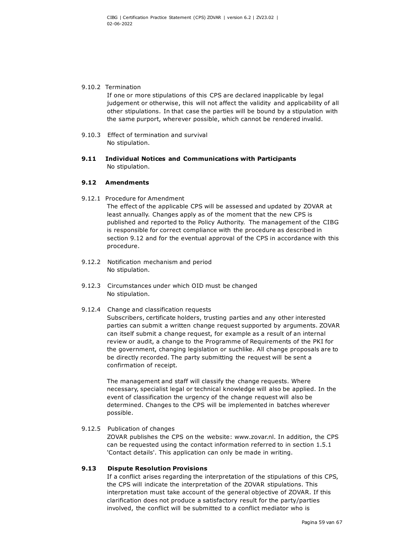#### 9.10.2 Termination

If one or more stipulations of this CPS are declared inapplicable by legal judgement or otherwise, this will not affect the validity and applicability of all other stipulations. In that case the parties will be bound by a stipulation with the same purport, wherever possible, which cannot be rendered invalid.

- 9.10.3 Effect of termination and survival No stipulation.
- **9.11 Individual Notices and Communications with Participants**  No stipulation.

#### **9.12 Amendments**

9.12.1 Procedure for Amendment

The effect of the applicable CPS will be assessed and updated by ZOVAR at least annually. Changes apply as of the moment that the new CPS is published and reported to the Policy Authority. The management of the CIBG is responsible for correct compliance with the procedure as described in section 9.12 and for the eventual approval of the CPS in accordance with this procedure.

- 9.12.2 Notification mechanism and period No stipulation.
- 9.12.3 Circumstances under which OID must be changed No stipulation.

#### 9.12.4 Change and classification requests

Subscribers, certificate holders, trusting parties and any other interested parties can submit a written change request supported by arguments. ZOVAR can itself submit a change request, for example as a result of an internal review or audit, a change to the Programme of Requirements of the PKI for the government, changing legislation or suchlike. All change proposals are to be directly recorded. The party submitting the request will be sent a confirmation of receipt.

The management and staff will classify the change requests. Where necessary, specialist legal or technical knowledge will also be applied. In the event of classification the urgency of the change request will also be determined. Changes to the CPS will be implemented in batches wherever possible.

#### 9.12.5 Publication of changes

ZOVAR publishes the CPS on the website: www.zovar.nl. In addition, the CPS can be requested using the contact information referred to in section 1.5.1 'Contact details'. This application can only be made in writing.

#### **9.13 Dispute Resolution Provisions**

If a conflict arises regarding the interpretation of the stipulations of this CPS, the CPS will indicate the interpretation of the ZOVAR stipulations. This interpretation must take account of the general objective of ZOVAR. If this clarification does not produce a satisfactory result for the party/parties involved, the conflict will be submitted to a conflict mediator who is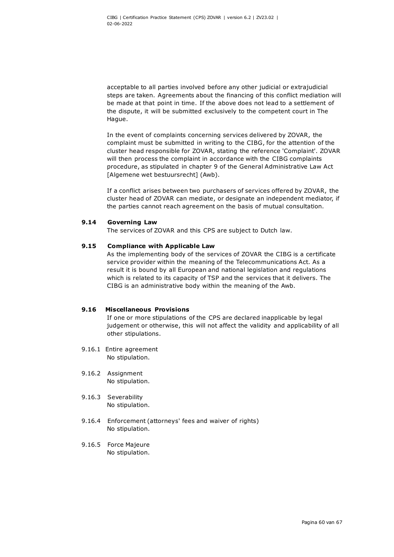acceptable to all parties involved before any other judicial or extrajudicial steps are taken. Agreements about the financing of this conflict mediation will be made at that point in time. If the above does not lead to a settlement of the dispute, it will be submitted exclusively to the competent court in The Hague.

In the event of complaints concerning services delivered by ZOVAR, the complaint must be submitted in writing to the CIBG, for the attention of the cluster head responsible for ZOVAR, stating the reference 'Complaint'. ZOVAR will then process the complaint in accordance with the CIBG complaints procedure, as stipulated in chapter 9 of the General Administrative Law Act [Algemene wet bestuursrecht] (Awb).

If a conflict arises between two purchasers of services offered by ZOVAR, the cluster head of ZOVAR can mediate, or designate an independent mediator, if the parties cannot reach agreement on the basis of mutual consultation.

#### **9.14 Governing Law**

The services of ZOVAR and this CPS are subject to Dutch law.

#### **9.15 Compliance with Applicable Law**

As the implementing body of the services of ZOVAR the CIBG is a certificate service provider within the meaning of the Telecommunications Act. As a result it is bound by all European and national legislation and regulations which is related to its capacity of TSP and the services that it delivers. The CIBG is an administrative body within the meaning of the Awb.

#### **9.16 Miscellaneous Provisions**

If one or more stipulations of the CPS are declared inapplicable by legal judgement or otherwise, this will not affect the validity and applicability of all other stipulations.

- 9.16.1 Entire agreement No stipulation.
- 9.16.2 Assignment No stipulation.
- 9.16.3 Severability No stipulation.
- 9.16.4 Enforcement (attorneys' fees and waiver of rights) No stipulation.
- 9.16.5 Force Majeure No stipulation.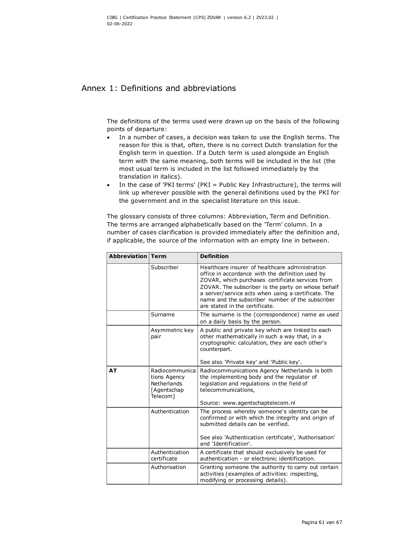## Annex 1: Definitions and abbreviations

The definitions of the terms used were drawn up on the basis of the following points of departure:

- In a number of cases, a decision was taken to use the English terms. The reason for this is that, often, there is no correct Dutch translation for the English term in question. If a Dutch term is used alongside an English term with the same meaning, both terms will be included in the list (the most usual term is included in the list followed immediately by the translation in italics).
- In the case of 'PKI terms' (PKI = Public Key Infrastructure), the terms will link up wherever possible with the general definitions used by the PKI for the government and in the specialist literature on this issue.

The glossary consists of three columns: Abbreviation, Term and Definition. The terms are arranged alphabetically based on the 'Term' column. In a number of cases clarification is provided immediately after the definition and, if applicable, the source of the information with an empty line in between.

| Abbreviation | <b>Term</b>                                                                     | <b>Definition</b>                                                                                                                                                                                                                                                                                                                                          |
|--------------|---------------------------------------------------------------------------------|------------------------------------------------------------------------------------------------------------------------------------------------------------------------------------------------------------------------------------------------------------------------------------------------------------------------------------------------------------|
|              | Subscriber                                                                      | Healthcare insurer of healthcare administration<br>office in accordance with the definition used by<br>ZOVAR, which purchases certificate services from<br>ZOVAR. The subscriber is the party on whose behalf<br>a server/service acts when using a certificate. The<br>name and the subscriber number of the subscriber<br>are stated in the certificate. |
|              | Surname                                                                         | The surname is the (correspondence) name as used<br>on a daily basis by the person.                                                                                                                                                                                                                                                                        |
|              | Asymmetric key<br>pair                                                          | A public and private key which are linked to each<br>other mathematically in such a way that, in a<br>cryptographic calculation, they are each other's<br>counterpart.<br>See also 'Private key' and 'Public key'.                                                                                                                                         |
| <b>AT</b>    | Radiocommunica<br>tions Agency<br><b>Netherlands</b><br>[Agentschap<br>Telecom] | Radiocommunications Agency Netherlands is both<br>the implementing body and the regulator of<br>legislation and regulations in the field of<br>telecommunications,<br>Source: www.agentschaptelecom.nl                                                                                                                                                     |
|              | Authentication                                                                  | The process whereby someone's identity can be<br>confirmed or with which the integrity and origin of<br>submitted details can be verified.<br>See also 'Authentication certificate', 'Authorisation'<br>and 'Identification'.                                                                                                                              |
|              | Authentication<br>certificate                                                   | A certificate that should exclusively be used for<br>authentication - or electronic identification.                                                                                                                                                                                                                                                        |
|              | Authorisation                                                                   | Granting someone the authority to carry out certain<br>activities (examples of activities: inspecting,<br>modifying or processing details).                                                                                                                                                                                                                |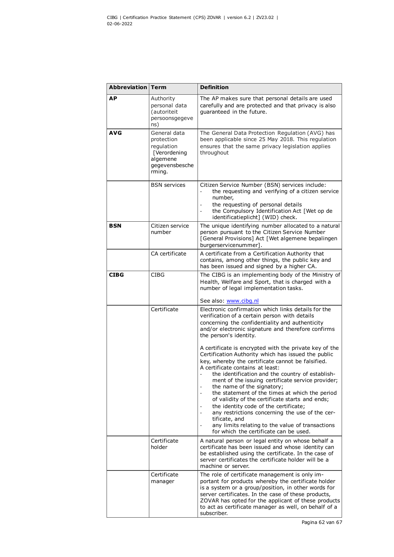| Abbreviation | <b>Term</b>                                                                                      | <b>Definition</b>                                                                                                                                                                                                                                                                                                                                                                                                                                                                                                                                                                                                                                                                         |
|--------------|--------------------------------------------------------------------------------------------------|-------------------------------------------------------------------------------------------------------------------------------------------------------------------------------------------------------------------------------------------------------------------------------------------------------------------------------------------------------------------------------------------------------------------------------------------------------------------------------------------------------------------------------------------------------------------------------------------------------------------------------------------------------------------------------------------|
| <b>AP</b>    | Authority<br>personal data<br>(autoriteit<br>persoonsgegeve<br>ns)                               | The AP makes sure that personal details are used<br>carefully and are protected and that privacy is also<br>quaranteed in the future.                                                                                                                                                                                                                                                                                                                                                                                                                                                                                                                                                     |
| <b>AVG</b>   | General data<br>protection<br>regulation<br>[Verordening<br>algemene<br>gegevensbesche<br>rming. | The General Data Protection Regulation (AVG) has<br>been applicable since 25 May 2018. This regulation<br>ensures that the same privacy legislation applies<br>throughout                                                                                                                                                                                                                                                                                                                                                                                                                                                                                                                 |
|              | <b>BSN</b> services                                                                              | Citizen Service Number (BSN) services include:<br>the requesting and verifying of a citizen service<br>number,<br>the requesting of personal details<br>the Compulsory Identification Act [Wet op de<br>identificatieplicht] (WID) check.                                                                                                                                                                                                                                                                                                                                                                                                                                                 |
| <b>BSN</b>   | Citizen service<br>number                                                                        | The unique identifying number allocated to a natural<br>person pursuant to the Citizen Service Number<br>[General Provisions] Act [Wet algemene bepalingen<br>burgerservicenummer1.                                                                                                                                                                                                                                                                                                                                                                                                                                                                                                       |
|              | CA certificate                                                                                   | A certificate from a Certification Authority that<br>contains, among other things, the public key and<br>has been issued and signed by a higher CA.                                                                                                                                                                                                                                                                                                                                                                                                                                                                                                                                       |
| <b>CIBG</b>  | <b>CIBG</b>                                                                                      | The CIBG is an implementing body of the Ministry of<br>Health, Welfare and Sport, that is charged with a<br>number of legal implementation tasks.<br>See also: www.cibg.nl                                                                                                                                                                                                                                                                                                                                                                                                                                                                                                                |
|              | Certificate                                                                                      | Electronic confirmation which links details for the<br>verification of a certain person with details<br>concerning the confidentiality and authenticity<br>and/or electronic signature and therefore confirms<br>the person's identity.                                                                                                                                                                                                                                                                                                                                                                                                                                                   |
|              |                                                                                                  | A certificate is encrypted with the private key of the<br>Certification Authority which has issued the public<br>key, whereby the certificate cannot be falsified.<br>A certificate contains at least:<br>the identification and the country of establish-<br>ment of the issuing certificate service provider;<br>the name of the signatory;<br>the statement of the times at which the period<br>$\overline{\phantom{a}}$<br>of validity of the certificate starts and ends;<br>the identity code of the certificate;<br>any restrictions concerning the use of the cer-<br>tificate, and<br>any limits relating to the value of transactions<br>for which the certificate can be used. |
|              | Certificate<br>holder                                                                            | A natural person or legal entity on whose behalf a<br>certificate has been issued and whose identity can<br>be established using the certificate. In the case of<br>server certificates the certificate holder will be a<br>machine or server.                                                                                                                                                                                                                                                                                                                                                                                                                                            |
|              | Certificate<br>manager                                                                           | The role of certificate management is only im-<br>portant for products whereby the certificate holder<br>is a system or a group/position, in other words for<br>server certificates. In the case of these products,<br>ZOVAR has opted for the applicant of these products<br>to act as certificate manager as well, on behalf of a<br>subscriber.                                                                                                                                                                                                                                                                                                                                        |

Pagina 62 van 67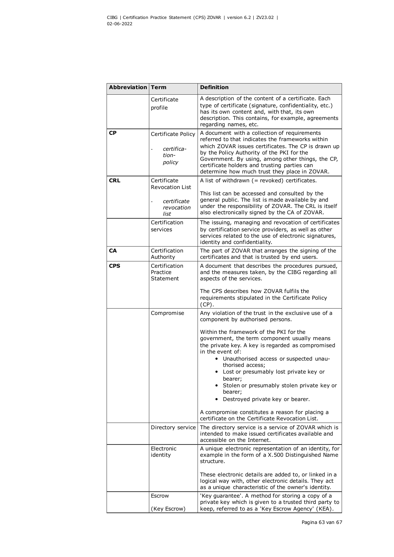| Abbreviation | <b>Term</b>                                                                | <b>Definition</b>                                                                                                                                                                                                                                                                                                                                                                                                                                                                                                                                                                                                                                           |
|--------------|----------------------------------------------------------------------------|-------------------------------------------------------------------------------------------------------------------------------------------------------------------------------------------------------------------------------------------------------------------------------------------------------------------------------------------------------------------------------------------------------------------------------------------------------------------------------------------------------------------------------------------------------------------------------------------------------------------------------------------------------------|
|              | Certificate<br>profile                                                     | A description of the content of a certificate. Each<br>type of certificate (signature, confidentiality, etc.)<br>has its own content and, with that, its own<br>description. This contains, for example, agreements<br>regarding names, etc.                                                                                                                                                                                                                                                                                                                                                                                                                |
| СP           | Certificate Policy<br>certifica-<br>tion-<br>policy                        | A document with a collection of requirements<br>referred to that indicates the frameworks within<br>which ZOVAR issues certificates. The CP is drawn up<br>by the Policy Authority of the PKI for the<br>Government. By using, among other things, the CP,<br>certificate holders and trusting parties can<br>determine how much trust they place in ZOVAR.                                                                                                                                                                                                                                                                                                 |
| <b>CRL</b>   | Certificate<br><b>Revocation List</b><br>certificate<br>revocation<br>list | A list of withdrawn $($ = revoked) certificates.<br>This list can be accessed and consulted by the<br>general public. The list is made available by and<br>under the responsibility of ZOVAR. The CRL is itself<br>also electronically signed by the CA of ZOVAR.                                                                                                                                                                                                                                                                                                                                                                                           |
|              | Certification<br>services                                                  | The issuing, managing and revocation of certificates<br>by certification service providers, as well as other<br>services related to the use of electronic signatures,<br>identity and confidentiality.                                                                                                                                                                                                                                                                                                                                                                                                                                                      |
| <b>CA</b>    | Certification<br>Authority                                                 | The part of ZOVAR that arranges the signing of the<br>certificates and that is trusted by end users.                                                                                                                                                                                                                                                                                                                                                                                                                                                                                                                                                        |
| <b>CPS</b>   | Certification<br>Practice<br>Statement                                     | A document that describes the procedures pursued,<br>and the measures taken, by the CIBG regarding all<br>aspects of the services.<br>The CPS describes how ZOVAR fulfils the<br>requirements stipulated in the Certificate Policy<br>$(CP)$ .                                                                                                                                                                                                                                                                                                                                                                                                              |
|              | Compromise<br>Directory service                                            | Any violation of the trust in the exclusive use of a<br>component by authorised persons.<br>Within the framework of the PKI for the<br>government, the term component usually means<br>the private key. A key is regarded as compromised<br>in the event of:<br>Unauthorised access or suspected unau-<br>$\bullet$<br>thorised access;<br>• Lost or presumably lost private key or<br>bearer;<br>• Stolen or presumably stolen private key or<br>bearer;<br>Destroyed private key or bearer.<br>A compromise constitutes a reason for placing a<br>certificate on the Certificate Revocation List.<br>The directory service is a service of ZOVAR which is |
|              | Electronic<br>identity                                                     | intended to make issued certificates available and<br>accessible on the Internet.<br>A unique electronic representation of an identity, for<br>example in the form of a X.500 Distinguished Name<br>structure.<br>These electronic details are added to, or linked in a<br>logical way with, other electronic details. They act<br>as a unique characteristic of the owner's identity.                                                                                                                                                                                                                                                                      |
|              | Escrow<br>(Key Escrow)                                                     | 'Key guarantee'. A method for storing a copy of a<br>private key which is given to a trusted third party to<br>keep, referred to as a 'Key Escrow Agency' (KEA).                                                                                                                                                                                                                                                                                                                                                                                                                                                                                            |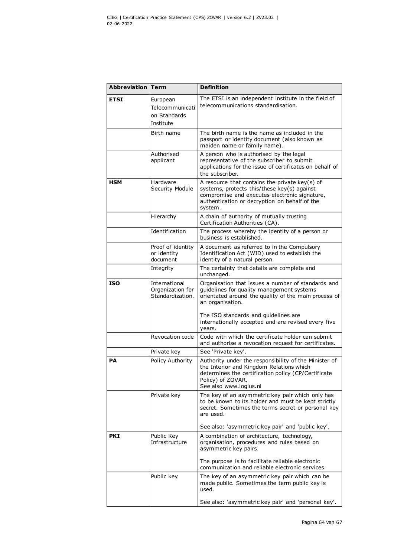| Abbreviation | <b>Term</b>                                              | <b>Definition</b>                                                                                                                                                                                                               |
|--------------|----------------------------------------------------------|---------------------------------------------------------------------------------------------------------------------------------------------------------------------------------------------------------------------------------|
| <b>ETSI</b>  | European<br>Telecommunicati<br>on Standards<br>Institute | The ETSI is an independent institute in the field of<br>telecommunications standardisation.                                                                                                                                     |
|              | Birth name                                               | The birth name is the name as included in the<br>passport or identity document (also known as<br>maiden name or family name).                                                                                                   |
|              | Authorised<br>applicant                                  | A person who is authorised by the legal<br>representative of the subscriber to submit<br>applications for the issue of certificates on behalf of<br>the subscriber.                                                             |
| <b>HSM</b>   | Hardware<br>Security Module                              | A resource that contains the private $key(s)$ of<br>systems, protects this/these key(s) against<br>compromise and executes electronic signature,<br>authentication or decryption on behalf of the<br>system.                    |
|              | Hierarchy                                                | A chain of authority of mutually trusting<br>Certification Authorities (CA).                                                                                                                                                    |
|              | Identification                                           | The process whereby the identity of a person or<br>business is established.                                                                                                                                                     |
|              | Proof of identity<br>or identity<br>document             | A document as referred to in the Compulsory<br>Identification Act (WID) used to establish the<br>identity of a natural person.                                                                                                  |
|              | Integrity                                                | The certainty that details are complete and<br>unchanged.                                                                                                                                                                       |
| <b>ISO</b>   | International<br>Organization for<br>Standardization.    | Organisation that issues a number of standards and<br>guidelines for quality management systems<br>orientated around the quality of the main process of<br>an organisation.                                                     |
|              |                                                          | The ISO standards and guidelines are<br>internationally accepted and are revised every five<br>years.                                                                                                                           |
|              | Revocation code                                          | Code with which the certificate holder can submit<br>and authorise a revocation request for certificates.                                                                                                                       |
|              | Private key                                              | See 'Private key'.                                                                                                                                                                                                              |
| PА           | <b>Policy Authority</b>                                  | Authority under the responsibility of the Minister of<br>the Interior and Kingdom Relations which<br>determines the certification policy (CP/Certificate<br>Policy) of ZOVAR.<br>See also www.logius.nl                         |
|              | Private key                                              | The key of an asymmetric key pair which only has<br>to be known to its holder and must be kept strictly<br>secret. Sometimes the terms secret or personal key<br>are used.<br>See also: 'asymmetric key pair' and 'public key'. |
| <b>PKI</b>   | Public Key<br>Infrastructure                             | A combination of architecture, technology,<br>organisation, procedures and rules based on<br>asymmetric key pairs.                                                                                                              |
|              |                                                          | The purpose is to facilitate reliable electronic<br>communication and reliable electronic services.                                                                                                                             |
|              | Public key                                               | The key of an asymmetric key pair which can be<br>made public. Sometimes the term public key is<br>used.                                                                                                                        |
|              |                                                          | See also: 'asymmetric key pair' and 'personal key'.                                                                                                                                                                             |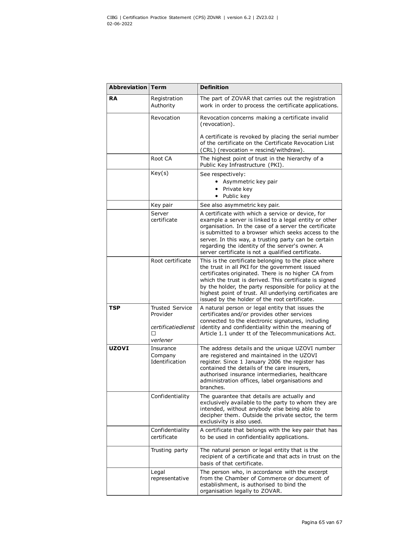| Abbreviation | <b>Term</b>                            | <b>Definition</b>                                                                                                                                                                                                                                                                                                                                                                             |
|--------------|----------------------------------------|-----------------------------------------------------------------------------------------------------------------------------------------------------------------------------------------------------------------------------------------------------------------------------------------------------------------------------------------------------------------------------------------------|
| <b>RA</b>    | Registration<br>Authority              | The part of ZOVAR that carries out the registration<br>work in order to process the certificate applications.                                                                                                                                                                                                                                                                                 |
|              | Revocation                             | Revocation concerns making a certificate invalid<br>(revocation).                                                                                                                                                                                                                                                                                                                             |
|              |                                        | A certificate is revoked by placing the serial number<br>of the certificate on the Certificate Revocation List<br>(CRL) (revocation = rescind/withdraw).                                                                                                                                                                                                                                      |
|              | Root CA                                | The highest point of trust in the hierarchy of a<br>Public Key Infrastructure (PKI).                                                                                                                                                                                                                                                                                                          |
|              | Key(s)                                 | See respectively:<br>• Asymmetric key pair<br>• Private key<br>• Public key                                                                                                                                                                                                                                                                                                                   |
|              | Key pair                               | See also asymmetric key pair.                                                                                                                                                                                                                                                                                                                                                                 |
|              | Server<br>certificate                  | A certificate with which a service or device, for<br>example a server is linked to a legal entity or other<br>organisation. In the case of a server the certificate<br>is submitted to a browser which seeks access to the<br>server. In this way, a trusting party can be certain<br>regarding the identity of the server's owner. A<br>server certificate is not a qualified certificate.   |
|              | Root certificate                       | This is the certificate belonging to the place where<br>the trust in all PKI for the government issued<br>certificates originated. There is no higher CA from<br>which the trust is derived. This certificate is signed<br>by the holder, the party responsible for policy at the<br>highest point of trust. All underlying certificates are<br>issued by the holder of the root certificate. |
| <b>TSP</b>   | <b>Trusted Service</b><br>Provider     | A natural person or legal entity that issues the<br>certificates and/or provides other services                                                                                                                                                                                                                                                                                               |
|              | certificatiedienst<br>□<br>verlener    | connected to the electronic signatures, including<br>identity and confidentiality within the meaning of<br>Article 1.1 under tt of the Telecommunications Act.                                                                                                                                                                                                                                |
| <b>UZOVI</b> | Insurance<br>Company<br>Identification | The address details and the unique UZOVI number<br>are registered and maintained in the UZOVI<br>register. Since 1 January 2006 the register has<br>contained the details of the care insurers,<br>authorised insurance intermediaries, healthcare<br>administration offices, label organisations and<br>branches.                                                                            |
|              | Confidentiality                        | The guarantee that details are actually and<br>exclusively available to the party to whom they are<br>intended, without anybody else being able to<br>decipher them. Outside the private sector, the term<br>exclusivity is also used.                                                                                                                                                        |
|              | Confidentiality<br>certificate         | A certificate that belongs with the key pair that has<br>to be used in confidentiality applications.                                                                                                                                                                                                                                                                                          |
|              | Trusting party                         | The natural person or legal entity that is the<br>recipient of a certificate and that acts in trust on the<br>basis of that certificate.                                                                                                                                                                                                                                                      |
|              | Legal<br>representative                | The person who, in accordance with the excerpt<br>from the Chamber of Commerce or document of<br>establishment, is authorised to bind the<br>organisation legally to ZOVAR.                                                                                                                                                                                                                   |